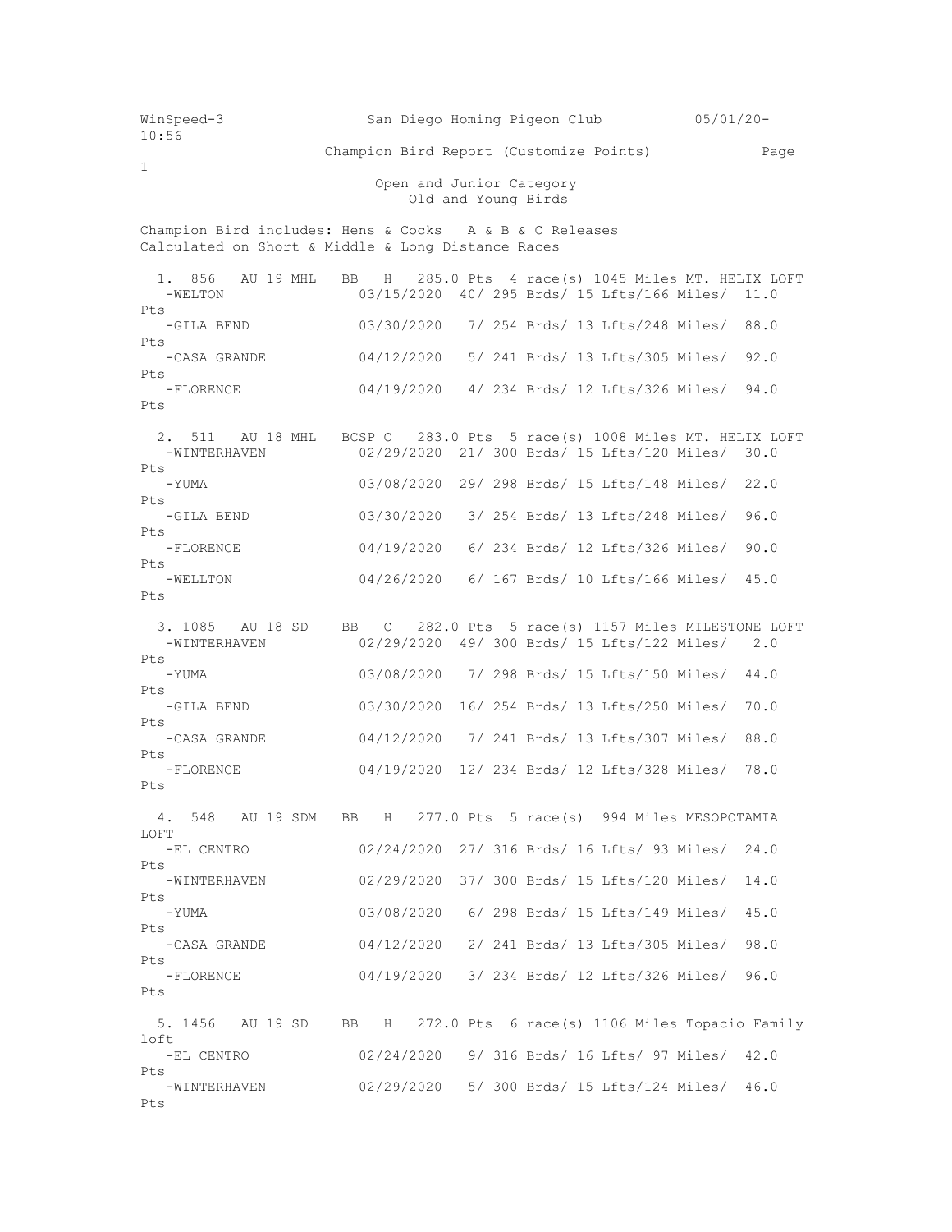WinSpeed-3 San Diego Homing Pigeon Club 05/01/20- 10:56 Champion Bird Report (Customize Points) Page 1 Open and Junior Category Old and Young Birds Champion Bird includes: Hens & Cocks A & B & C Releases Calculated on Short & Middle & Long Distance Races 1. 856 AU 19 MHL BB H 285.0 Pts 4 race(s) 1045 Miles MT. HELIX LOFT -WELTON 03/15/2020 40/ 295 Brds/ 15 Lfts/166 Miles/ 11.0 Pts<br>-GILA BEND 03/30/2020 7/ 254 Brds/ 13 Lfts/248 Miles/ 88.0 Pts -CASA GRANDE 04/12/2020 5/ 241 Brds/ 13 Lfts/305 Miles/ 92.0 Pts -FLORENCE 04/19/2020 4/ 234 Brds/ 12 Lfts/326 Miles/ 94.0 Pts 2. 511 AU 18 MHL BCSP C 283.0 Pts 5 race(s) 1008 Miles MT. HELIX LOFT<br>-WINTERHAVEN 02/29/2020 21/300 Brds/15 Lfts/120 Miles/30.0 02/29/2020 21/ 300 Brds/ 15 Lfts/120 Miles/ 30.0 Pts -YUMA 03/08/2020 29/ 298 Brds/ 15 Lfts/148 Miles/ 22.0 Pts -GILA BEND 03/30/2020 3/ 254 Brds/ 13 Lfts/248 Miles/ 96.0 Pts<br>FLORENCE -04/19/2020 6/ 234 Brds/ 12 Lfts/326 Miles/ 90.0 Pts -WELLTON 04/26/2020 6/ 167 Brds/ 10 Lfts/166 Miles/ 45.0 Pts 3. 1085 AU 18 SD BB C 282.0 Pts 5 race(s) 1157 Miles MILESTONE LOFT<br>-WINTERHAVEN 02/29/2020 49/300 Brds/ 15 Lfts/122 Miles/ 2.0 02/29/2020 49/ 300 Brds/ 15 Lfts/122 Miles/ 2.0 Pts<br>-YUMA 03/08/2020 7/ 298 Brds/ 15 Lfts/150 Miles/ 44.0 Pts -GILA BEND 03/30/2020 16/ 254 Brds/ 13 Lfts/250 Miles/ 70.0 Pts -CASA GRANDE 04/12/2020 7/ 241 Brds/ 13 Lfts/307 Miles/ 88.0 Pts -FLORENCE 04/19/2020 12/ 234 Brds/ 12 Lfts/328 Miles/ 78.0 Pts 4. 548 AU 19 SDM BB H 277.0 Pts 5 race(s) 994 Miles MESOPOTAMIA LOFT -EL CENTRO 02/24/2020 27/ 316 Brds/ 16 Lfts/ 93 Miles/ 24.0 Pts -WINTERHAVEN 02/29/2020 37/ 300 Brds/ 15 Lfts/120 Miles/ 14.0 Pts -YUMA 03/08/2020 6/ 298 Brds/ 15 Lfts/149 Miles/ 45.0 Pts -CASA GRANDE 04/12/2020 2/ 241 Brds/ 13 Lfts/305 Miles/ 98.0 Pts -FLORENCE 04/19/2020 3/ 234 Brds/ 12 Lfts/326 Miles/ 96.0 Pts 5. 1456 AU 19 SD BB H 272.0 Pts 6 race(s) 1106 Miles Topacio Family loft -EL CENTRO 02/24/2020 9/ 316 Brds/ 16 Lfts/ 97 Miles/ 42.0 Pts<br>-WINTERHAVEN 02/29/2020 5/ 300 Brds/ 15 Lfts/124 Miles/ 46.0 Pts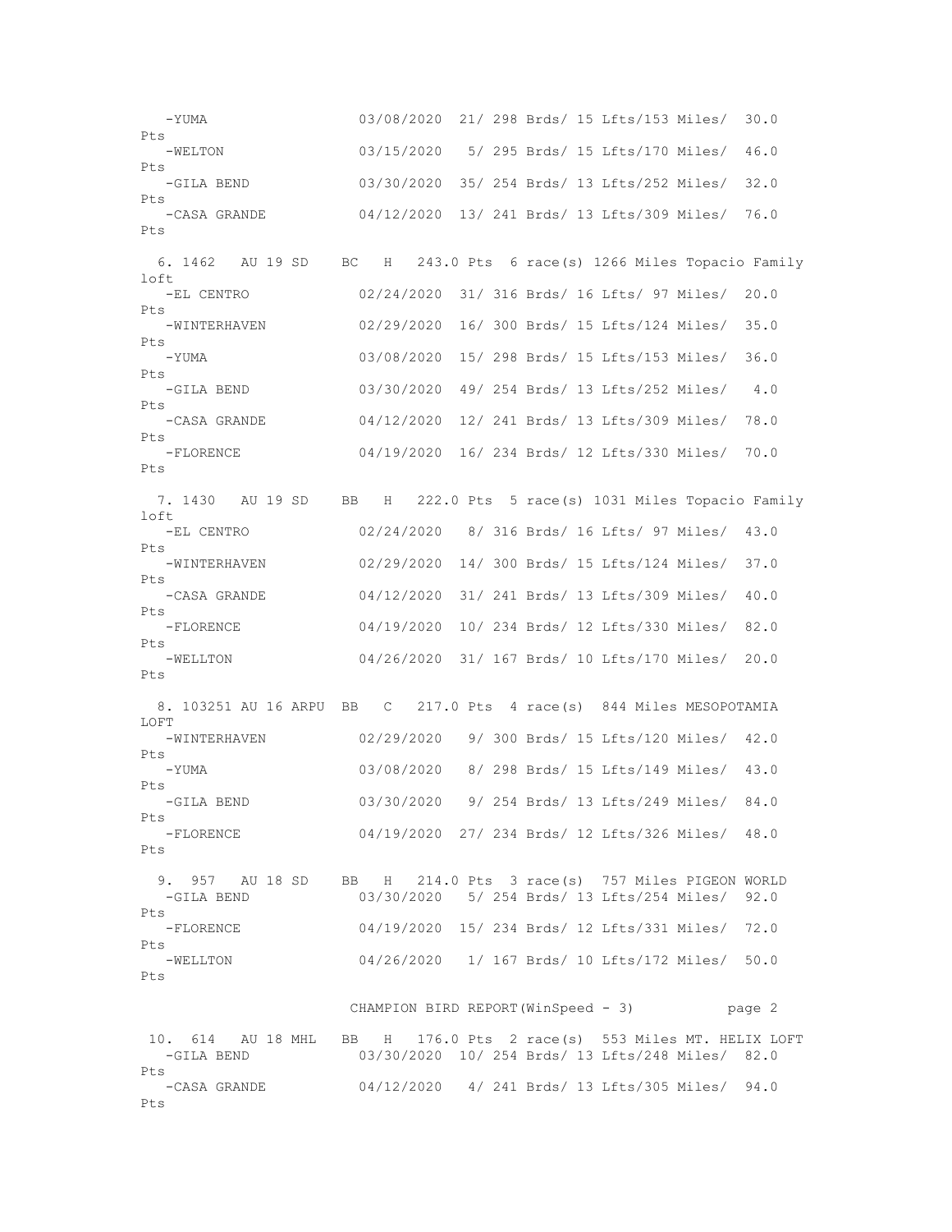-YUMA 03/08/2020 21/ 298 Brds/ 15 Lfts/153 Miles/ 30.0 Pts -WELTON 03/15/2020 5/ 295 Brds/ 15 Lfts/170 Miles/ 46.0 Pts -GILA BEND 03/30/2020 35/ 254 Brds/ 13 Lfts/252 Miles/ 32.0 Pts -CASA GRANDE 04/12/2020 13/ 241 Brds/ 13 Lfts/309 Miles/ 76.0  $P_{\text{f}}$ s 6. 1462 AU 19 SD BC H 243.0 Pts 6 race(s) 1266 Miles Topacio Family loft -EL CENTRO 02/24/2020 31/ 316 Brds/ 16 Lfts/ 97 Miles/ 20.0  $P+s$  -WINTERHAVEN 02/29/2020 16/ 300 Brds/ 15 Lfts/124 Miles/ 35.0 Pts<br>-YUMA 03/08/2020 15/ 298 Brds/ 15 Lfts/153 Miles/ 36.0 Pts -GILA BEND 03/30/2020 49/ 254 Brds/ 13 Lfts/252 Miles/ 4.0 Pts<br>-CASA GRANDE 04/12/2020 12/ 241 Brds/ 13 Lfts/309 Miles/ 78.0 Pts -FLORENCE 04/19/2020 16/ 234 Brds/ 12 Lfts/330 Miles/ 70.0  $P_{\text{max}}$  7. 1430 AU 19 SD BB H 222.0 Pts 5 race(s) 1031 Miles Topacio Family loft -EL CENTRO 02/24/2020 8/ 316 Brds/ 16 Lfts/ 97 Miles/ 43.0 Pts -WINTERHAVEN 02/29/2020 14/ 300 Brds/ 15 Lfts/124 Miles/ 37.0 Pts -CASA GRANDE 04/12/2020 31/ 241 Brds/ 13 Lfts/309 Miles/ 40.0 Pts -FLORENCE 04/19/2020 10/ 234 Brds/ 12 Lfts/330 Miles/ 82.0 Pts<br>-WELLTON 04/26/2020 31/ 167 Brds/ 10 Lfts/170 Miles/ 20.0 Pts 8. 103251 AU 16 ARPU BB C 217.0 Pts 4 race(s) 844 Miles MESOPOTAMIA LOFT -WINTERHAVEN 02/29/2020 9/ 300 Brds/ 15 Lfts/120 Miles/ 42.0 Pts -YUMA 03/08/2020 8/ 298 Brds/ 15 Lfts/149 Miles/ 43.0 Pts -GILA BEND 03/30/2020 9/ 254 Brds/ 13 Lfts/249 Miles/ 84.0 Pts -FLORENCE 04/19/2020 27/ 234 Brds/ 12 Lfts/326 Miles/ 48.0 Pts 9. 957 AU 18 SD BB H 214.0 Pts 3 race(s) 757 Miles PIGEON WORLD<br>-GILA BEND 03/30/2020 5/ 254 Brds/ 13 Lifts/254 Miles/ 92.0 03/30/2020 5/ 254 Brds/ 13 Lfts/254 Miles/ 92.0 Pts -FLORENCE 04/19/2020 15/ 234 Brds/ 12 Lfts/331 Miles/ 72.0 Pts -WELLTON 04/26/2020 1/ 167 Brds/ 10 Lfts/172 Miles/ 50.0 Pts CHAMPION BIRD REPORT(WinSpeed - 3) page 2 10. 614 AU 18 MHL BB H 176.0 Pts 2 race(s) 553 Miles MT. HELIX LOFT -GILA BEND 03/30/2020 10/ 254 Brds/ 13 Lfts/248 Miles/ 82.0 Pts -CASA GRANDE 04/12/2020 4/ 241 Brds/ 13 Lfts/305 Miles/ 94.0 Pts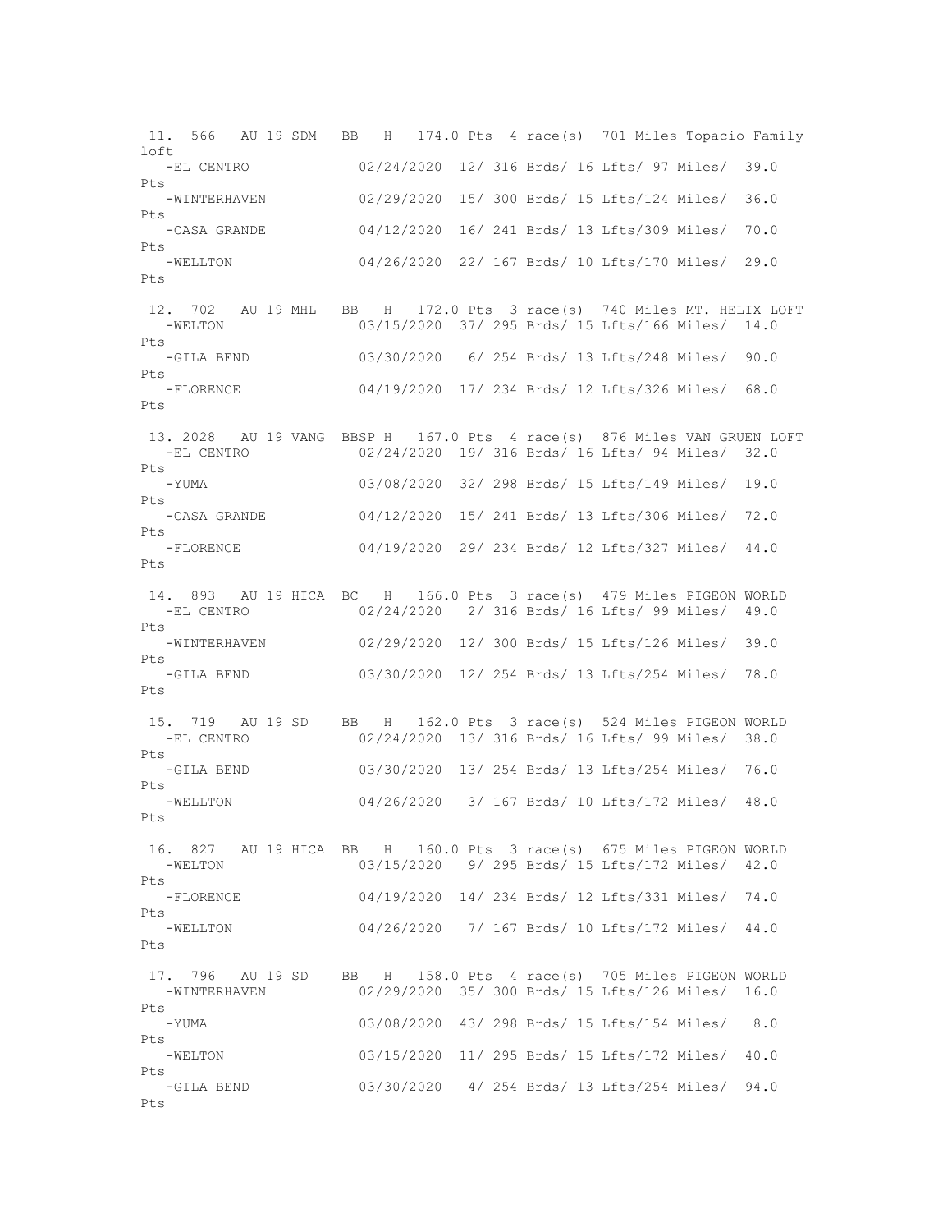11. 566 AU 19 SDM BB H 174.0 Pts 4 race(s) 701 Miles Topacio Family  $1 \cap f$  -EL CENTRO 02/24/2020 12/ 316 Brds/ 16 Lfts/ 97 Miles/ 39.0 Pts -WINTERHAVEN 02/29/2020 15/ 300 Brds/ 15 Lfts/124 Miles/ 36.0 Pts -CASA GRANDE 04/12/2020 16/ 241 Brds/ 13 Lfts/309 Miles/ 70.0 Pts -WELLTON 04/26/2020 22/ 167 Brds/ 10 Lfts/170 Miles/ 29.0 Pts 12. 702 AU 19 MHL BB H 172.0 Pts 3 race(s) 740 Miles MT. HELIX LOFT -WELTON 03/15/2020 37/ 295 Brds/ 15 Lfts/166 Miles/ 14.0 Pts -GILA BEND 03/30/2020 6/ 254 Brds/ 13 Lfts/248 Miles/ 90.0 Pts -FLORENCE 04/19/2020 17/ 234 Brds/ 12 Lfts/326 Miles/ 68.0 Pts 13. 2028 AU 19 VANG BBSP H 167.0 Pts 4 race(s) 876 Miles VAN GRUEN LOFT -EL CENTRO 02/24/2020 19/ 316 Brds/ 16 Lfts/ 94 Miles/ 32.0 Pts -YUMA 03/08/2020 32/ 298 Brds/ 15 Lfts/149 Miles/ 19.0 Pts -CASA GRANDE 04/12/2020 15/ 241 Brds/ 13 Lfts/306 Miles/ 72.0 Pts -FLORENCE 04/19/2020 29/ 234 Brds/ 12 Lfts/327 Miles/ 44.0 Pts 14. 893 AU 19 HICA BC H 166.0 Pts 3 race(s) 479 Miles PIGEON WORLD -EL CENTRO 02/24/2020 2/ 316 Brds/ 16 Lfts/ 99 Miles/ 49.0 Pts -WINTERHAVEN 02/29/2020 12/ 300 Brds/ 15 Lfts/126 Miles/ 39.0 Pts -GILA BEND 03/30/2020 12/ 254 Brds/ 13 Lfts/254 Miles/ 78.0 Pts 15. 719 AU 19 SD BB H 162.0 Pts 3 race(s) 524 Miles PIGEON WORLD 02/24/2020 13/ 316 Brds/ 16 Lfts/ 99 Miles/ 38.0 Pts -GILA BEND 03/30/2020 13/ 254 Brds/ 13 Lfts/254 Miles/ 76.0 Pts -WELLTON 04/26/2020 3/ 167 Brds/ 10 Lfts/172 Miles/ 48.0 Pts 16. 827 AU 19 HICA BB H 160.0 Pts 3 race(s) 675 Miles PIGEON WORLD -WELTON 03/15/2020 9/ 295 Brds/ 15 Lfts/172 Miles/ 42.0 Pts -FLORENCE 04/19/2020 14/ 234 Brds/ 12 Lfts/331 Miles/ 74.0 Pts -WELLTON 04/26/2020 7/ 167 Brds/ 10 Lfts/172 Miles/ 44.0 Pts 17. 796 AU 19 SD BB H 158.0 Pts 4 race(s) 705 Miles PIGEON WORLD 02/29/2020 35/ 300 Brds/ 15 Lfts/126 Miles/ 16.0 Pts -YUMA 03/08/2020 43/ 298 Brds/ 15 Lfts/154 Miles/ 8.0 Pts -WELTON 03/15/2020 11/ 295 Brds/ 15 Lfts/172 Miles/ 40.0 Pts -GILA BEND 03/30/2020 4/ 254 Brds/ 13 Lfts/254 Miles/ 94.0 Pts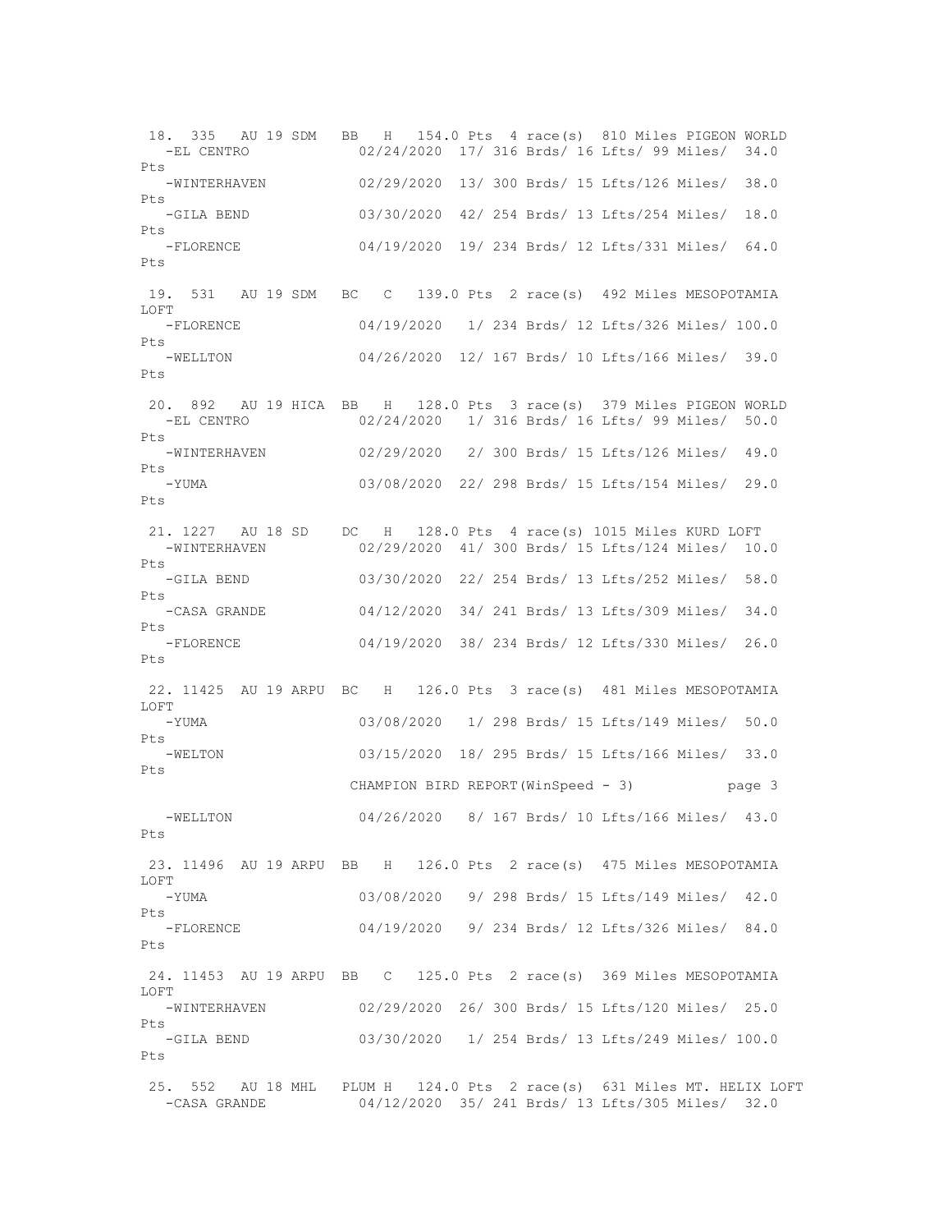18. 335 AU 19 SDM BB H 154.0 Pts 4 race(s) 810 Miles PIGEON WORLD -EL CENTRO 02/24/2020 17/ 316 Brds/ 16 Lfts/ 99 Miles/ 34.0 Pts -WINTERHAVEN 02/29/2020 13/ 300 Brds/ 15 Lfts/126 Miles/ 38.0 Pts -GILA BEND 03/30/2020 42/ 254 Brds/ 13 Lfts/254 Miles/ 18.0 Pts -FLORENCE 04/19/2020 19/ 234 Brds/ 12 Lfts/331 Miles/ 64.0 Pts 19. 531 AU 19 SDM BC C 139.0 Pts 2 race(s) 492 Miles MESOPOTAMIA LOFT -FLORENCE 04/19/2020 1/ 234 Brds/ 12 Lfts/326 Miles/ 100.0 Pts -WELLTON 04/26/2020 12/ 167 Brds/ 10 Lfts/166 Miles/ 39.0 Pts 20. 892 AU 19 HICA BB H 128.0 Pts 3 race(s) 379 Miles PIGEON WORLD 02/24/2020 1/ 316 Brds/ 16 Lfts/ 99 Miles/ 50.0 Pts<br>-WINTERHAVEN 02/29/2020 2/ 300 Brds/ 15 Lfts/126 Miles/ 49.0 Pts -YUMA 03/08/2020 22/ 298 Brds/ 15 Lfts/154 Miles/ 29.0 Pts 21. 1227 AU 18 SD DC H 128.0 Pts 4 race(s) 1015 Miles KURD LOFT -WINTERHAVEN 02/29/2020 41/ 300 Brds/ 15 Lfts/124 Miles/ 10.0 Pts -GILA BEND 03/30/2020 22/ 254 Brds/ 13 Lfts/252 Miles/ 58.0 Pts -CASA GRANDE 04/12/2020 34/ 241 Brds/ 13 Lfts/309 Miles/ 34.0 Pts -FLORENCE 04/19/2020 38/ 234 Brds/ 12 Lfts/330 Miles/ 26.0  $P_{\text{t}}$ s 22. 11425 AU 19 ARPU BC H 126.0 Pts 3 race(s) 481 Miles MESOPOTAMIA LOFT -YUMA 03/08/2020 1/ 298 Brds/ 15 Lfts/149 Miles/ 50.0 Pts -WELTON 03/15/2020 18/ 295 Brds/ 15 Lfts/166 Miles/ 33.0 Pts CHAMPION BIRD REPORT(WinSpeed - 3) page 3 -WELLTON 04/26/2020 8/ 167 Brds/ 10 Lfts/166 Miles/ 43.0 Pts 23. 11496 AU 19 ARPU BB H 126.0 Pts 2 race(s) 475 Miles MESOPOTAMIA LOFT 03/08/2020 9/ 298 Brds/ 15 Lfts/149 Miles/ 42.0 Pts -FLORENCE 04/19/2020 9/ 234 Brds/ 12 Lfts/326 Miles/ 84.0 Pts 24. 11453 AU 19 ARPU BB C 125.0 Pts 2 race(s) 369 Miles MESOPOTAMIA LOFT -WINTERHAVEN 02/29/2020 26/ 300 Brds/ 15 Lfts/120 Miles/ 25.0 Pts -GILA BEND 03/30/2020 1/ 254 Brds/ 13 Lfts/249 Miles/ 100.0 Pts 25. 552 AU 18 MHL PLUM H 124.0 Pts 2 race(s) 631 Miles MT. HELIX LOFT -CASA GRANDE 04/12/2020 35/ 241 Brds/ 13 Lfts/305 Miles/ 32.0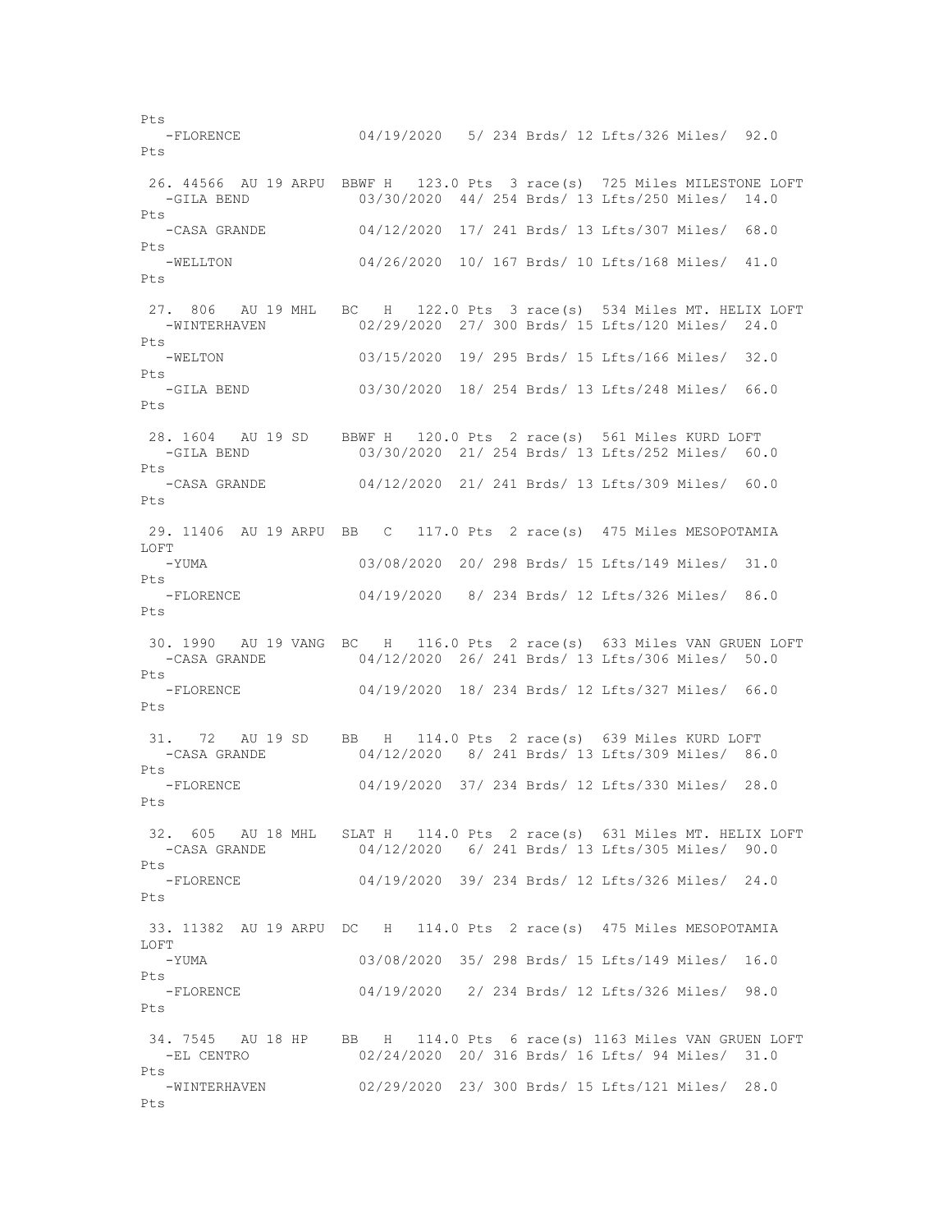Pts -FLORENCE 04/19/2020 5/ 234 Brds/ 12 Lfts/326 Miles/ 92.0 Pts 26. 44566 AU 19 ARPU BBWF H 123.0 Pts 3 race(s) 725 Miles MILESTONE LOFT -GILA BEND 03/30/2020 44/ 254 Brds/ 13 Lfts/250 Miles/ 14.0 Pts -CASA GRANDE 04/12/2020 17/ 241 Brds/ 13 Lfts/307 Miles/ 68.0 Pts -WELLTON 04/26/2020 10/ 167 Brds/ 10 Lfts/168 Miles/ 41.0 Pts 27. 806 AU 19 MHL BC H 122.0 Pts 3 race(s) 534 Miles MT. HELIX LOFT -WINTERHAVEN 02/29/2020 27/ 300 Brds/ 15 Lfts/120 Miles/ 24.0 Pts -WELTON 03/15/2020 19/ 295 Brds/ 15 Lfts/166 Miles/ 32.0 Pts -GILA BEND 03/30/2020 18/ 254 Brds/ 13 Lfts/248 Miles/ 66.0 Pts 28. 1604 AU 19 SD BBWF H 120.0 Pts 2 race(s) 561 Miles KURD LOFT 03/30/2020 21/ 254 Brds/ 13 Lfts/252 Miles/ 60.0 Pts -CASA GRANDE 04/12/2020 21/ 241 Brds/ 13 Lfts/309 Miles/ 60.0 Pts 29. 11406 AU 19 ARPU BB C 117.0 Pts 2 race(s) 475 Miles MESOPOTAMIA LOFT -YUMA 03/08/2020 20/ 298 Brds/ 15 Lfts/149 Miles/ 31.0  $P_{\text{max}}$  -FLORENCE 04/19/2020 8/ 234 Brds/ 12 Lfts/326 Miles/ 86.0 Pts 30. 1990 AU 19 VANG BC H 116.0 Pts 2 race(s) 633 Miles VAN GRUEN LOFT -CASA GRANDE 04/12/2020 26/ 241 Brds/ 13 Lfts/306 Miles/ 50.0 Pts<br>-FLORENCE 04/19/2020 18/ 234 Brds/ 12 Lfts/327 Miles/ 66.0 Pts 31. 72 AU 19 SD BB H 114.0 Pts 2 race(s) 639 Miles KURD LOFT -CASA GRANDE 04/12/2020 8/ 241 Brds/ 13 Lfts/309 Miles/ 86.0 Pts<br>-FLORENCE 04/19/2020 37/ 234 Brds/ 12 Lfts/330 Miles/ 28.0 Pts 32. 605 AU 18 MHL SLAT H 114.0 Pts 2 race(s) 631 Miles MT. HELIX LOFT -CASA GRANDE 04/12/2020 6/ 241 Brds/ 13 Lfts/305 Miles/ 90.0 Pts -FLORENCE 04/19/2020 39/ 234 Brds/ 12 Lfts/326 Miles/ 24.0  $P+s$  33. 11382 AU 19 ARPU DC H 114.0 Pts 2 race(s) 475 Miles MESOPOTAMIA LOFT -YUMA 03/08/2020 35/ 298 Brds/ 15 Lfts/149 Miles/ 16.0 Pts -FLORENCE 04/19/2020 2/ 234 Brds/ 12 Lfts/326 Miles/ 98.0 Pts 34. 7545 AU 18 HP BB H 114.0 Pts 6 race(s) 1163 Miles VAN GRUEN LOFT -EL CENTRO 02/24/2020 20/ 316 Brds/ 16 Lfts/ 94 Miles/ 31.0 Pts -WINTERHAVEN 02/29/2020 23/ 300 Brds/ 15 Lfts/121 Miles/ 28.0 Pts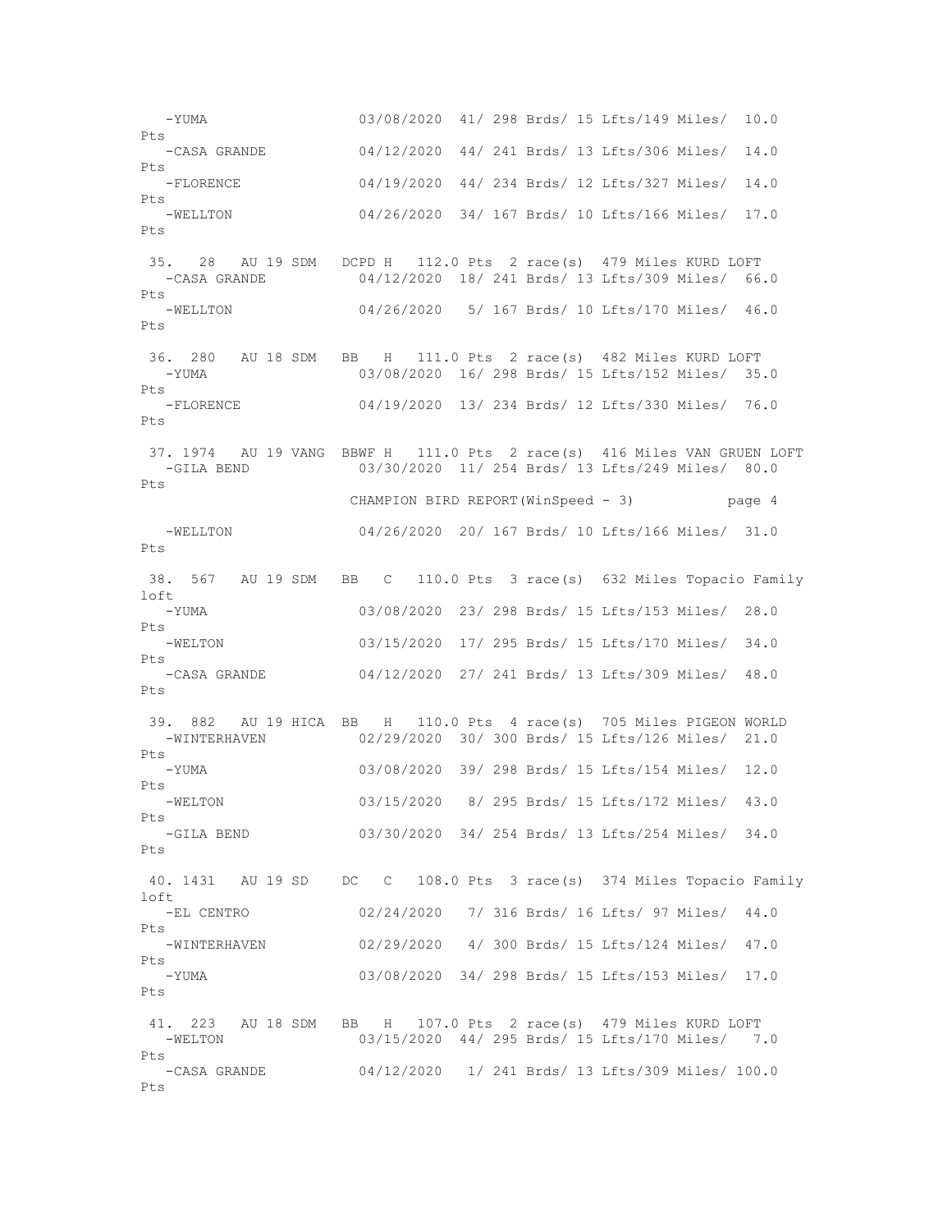-YUMA 03/08/2020 41/ 298 Brds/ 15 Lfts/149 Miles/ 10.0 Pts -CASA GRANDE 04/12/2020 44/ 241 Brds/ 13 Lfts/306 Miles/ 14.0 Pts -FLORENCE 04/19/2020 44/ 234 Brds/ 12 Lfts/327 Miles/ 14.0 Pts -WELLTON 04/26/2020 34/ 167 Brds/ 10 Lfts/166 Miles/ 17.0 Pts 35. 28 AU 19 SDM DCPD H 112.0 Pts 2 race(s) 479 Miles KURD LOFT -CASA GRANDE 04/12/2020 18/ 241 Brds/ 13 Lfts/309 Miles/ 66.0 Pts -WELLTON 04/26/2020 5/ 167 Brds/ 10 Lfts/170 Miles/ 46.0 Pts 36. 280 AU 18 SDM BB H 111.0 Pts 2 race(s) 482 Miles KURD LOFT -YUMA 03/08/2020 16/ 298 Brds/ 15 Lfts/152 Miles/ 35.0 Pts -FLORENCE 04/19/2020 13/ 234 Brds/ 12 Lfts/330 Miles/ 76.0  $P_{\text{t}}$ s 37. 1974 AU 19 VANG BBWF H 111.0 Pts 2 race(s) 416 Miles VAN GRUEN LOFT -GILA BEND 03/30/2020 11/ 254 Brds/ 13 Lfts/249 Miles/ 80.0 Pts CHAMPION BIRD REPORT(WinSpeed - 3) page 4 -WELLTON 04/26/2020 20/ 167 Brds/ 10 Lfts/166 Miles/ 31.0  $P_{\text{t}}$ s 38. 567 AU 19 SDM BB C 110.0 Pts 3 race(s) 632 Miles Topacio Family loft -YUMA 03/08/2020 23/ 298 Brds/ 15 Lfts/153 Miles/ 28.0 Pts -WELTON 03/15/2020 17/ 295 Brds/ 15 Lfts/170 Miles/ 34.0 Pts<br>-CASA GRANDE 04/12/2020 27/ 241 Brds/ 13 Lfts/309 Miles/ 48.0 Pts 39. 882 AU 19 HICA BB H 110.0 Pts 4 race(s) 705 Miles PIGEON WORLD -WINTERHAVEN 02/29/2020 30/ 300 Brds/ 15 Lfts/126 Miles/ 21.0 Pts -YUMA 03/08/2020 39/ 298 Brds/ 15 Lfts/154 Miles/ 12.0 Pts -WELTON 03/15/2020 8/ 295 Brds/ 15 Lfts/172 Miles/ 43.0 Pts -GILA BEND 03/30/2020 34/ 254 Brds/ 13 Lfts/254 Miles/ 34.0 Pts 40. 1431 AU 19 SD DC C 108.0 Pts 3 race(s) 374 Miles Topacio Family  $ln f$  -EL CENTRO 02/24/2020 7/ 316 Brds/ 16 Lfts/ 97 Miles/ 44.0 Pts -WINTERHAVEN 02/29/2020 4/ 300 Brds/ 15 Lfts/124 Miles/ 47.0 Pts -YUMA 03/08/2020 34/ 298 Brds/ 15 Lfts/153 Miles/ 17.0 Pts 41. 223 AU 18 SDM BB H 107.0 Pts 2 race(s) 479 Miles KURD LOFT -WELTON 03/15/2020 44/ 295 Brds/ 15 Lfts/170 Miles/ 7.0 Pts -CASA GRANDE 04/12/2020 1/ 241 Brds/ 13 Lfts/309 Miles/ 100.0 Pts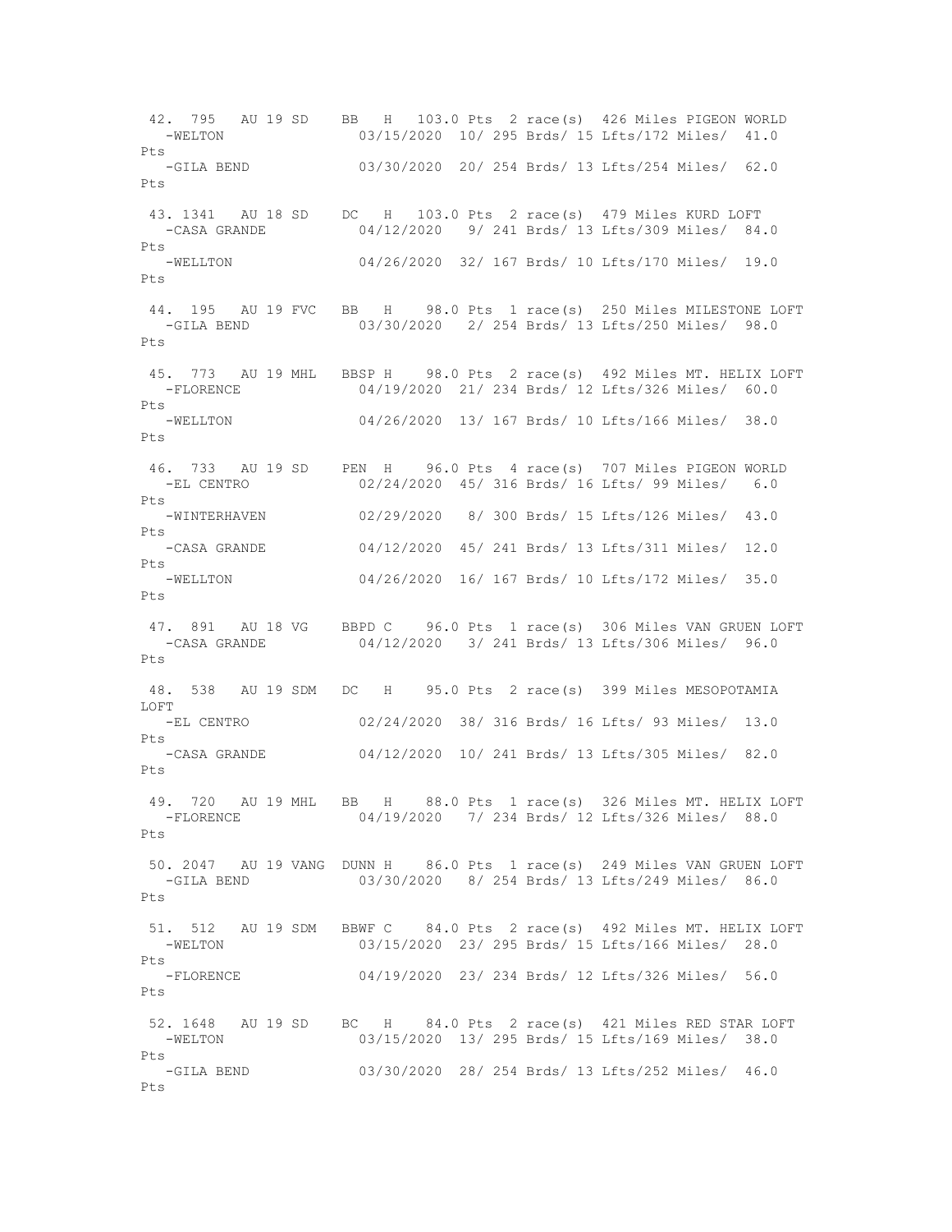42. 795 AU 19 SD BB H 103.0 Pts 2 race(s) 426 Miles PIGEON WORLD -WELTON 03/15/2020 10/ 295 Brds/ 15 Lfts/172 Miles/ 41.0  $P_{\text{max}}$  -GILA BEND 03/30/2020 20/ 254 Brds/ 13 Lfts/254 Miles/ 62.0 Pts 43. 1341 AU 18 SD DC H 103.0 Pts 2 race(s) 479 Miles KURD LOFT -CASA GRANDE 04/12/2020 9/ 241 Brds/ 13 Lfts/309 Miles/ 84.0 Pts -WELLTON 04/26/2020 32/ 167 Brds/ 10 Lfts/170 Miles/ 19.0 Pts 44. 195 AU 19 FVC BB H 98.0 Pts 1 race(s) 250 Miles MILESTONE LOFT -GILA BEND 03/30/2020 2/ 254 Brds/ 13 Lfts/250 Miles/ 98.0 Pts 45. 773 AU 19 MHL BBSP H 98.0 Pts 2 race(s) 492 Miles MT. HELIX LOFT -FLORENCE 04/19/2020 21/ 234 Brds/ 12 Lfts/326 Miles/ 60.0 Pts<br>-WELLTON 04/26/2020 13/ 167 Brds/ 10 Lfts/166 Miles/ 38.0 Pts 46. 733 AU 19 SD PEN H 96.0 Pts 4 race(s) 707 Miles PIGEON WORLD -EL CENTRO 02/24/2020 45/ 316 Brds/ 16 Lfts/ 99 Miles/ 6.0 Pts -WINTERHAVEN 02/29/2020 8/ 300 Brds/ 15 Lfts/126 Miles/ 43.0 Pts -CASA GRANDE 04/12/2020 45/ 241 Brds/ 13 Lfts/311 Miles/ 12.0 Pts -WELLTON 04/26/2020 16/ 167 Brds/ 10 Lfts/172 Miles/ 35.0 Pts 47. 891 AU 18 VG BBPD C 96.0 Pts 1 race(s) 306 Miles VAN GRUEN LOFT -CASA GRANDE 04/12/2020 3/ 241 Brds/ 13 Lfts/306 Miles/ 96.0  $P_{\text{f}}$ s 48. 538 AU 19 SDM DC H 95.0 Pts 2 race(s) 399 Miles MESOPOTAMIA LOFT -EL CENTRO 02/24/2020 38/ 316 Brds/ 16 Lfts/ 93 Miles/ 13.0  $P_{\text{t}}$ s -CASA GRANDE 04/12/2020 10/ 241 Brds/ 13 Lfts/305 Miles/ 82.0 Pts 49. 720 AU 19 MHL BB H 88.0 Pts 1 race(s) 326 Miles MT. HELIX LOFT<br>-FLORENCE 04/19/2020 7/ 234 Brds/ 12 Lfts/326 Miles/ 88.0 04/19/2020 7/ 234 Brds/ 12 Lfts/326 Miles/ 88.0 Pts 50. 2047 AU 19 VANG DUNN H 86.0 Pts 1 race(s) 249 Miles VAN GRUEN LOFT -GILA BEND 03/30/2020 8/ 254 Brds/ 13 Lfts/249 Miles/ 86.0  $P_{\text{max}}$  51. 512 AU 19 SDM BBWF C 84.0 Pts 2 race(s) 492 Miles MT. HELIX LOFT -WELTON 03/15/2020 23/ 295 Brds/ 15 Lfts/166 Miles/ 28.0 Pts -FLORENCE 04/19/2020 23/ 234 Brds/ 12 Lfts/326 Miles/ 56.0 Pts 52. 1648 AU 19 SD BC H 84.0 Pts 2 race(s) 421 Miles RED STAR LOFT -WELTON 03/15/2020 13/ 295 Brds/ 15 Lfts/169 Miles/ 38.0 Pts -GILA BEND 03/30/2020 28/ 254 Brds/ 13 Lfts/252 Miles/ 46.0 Pts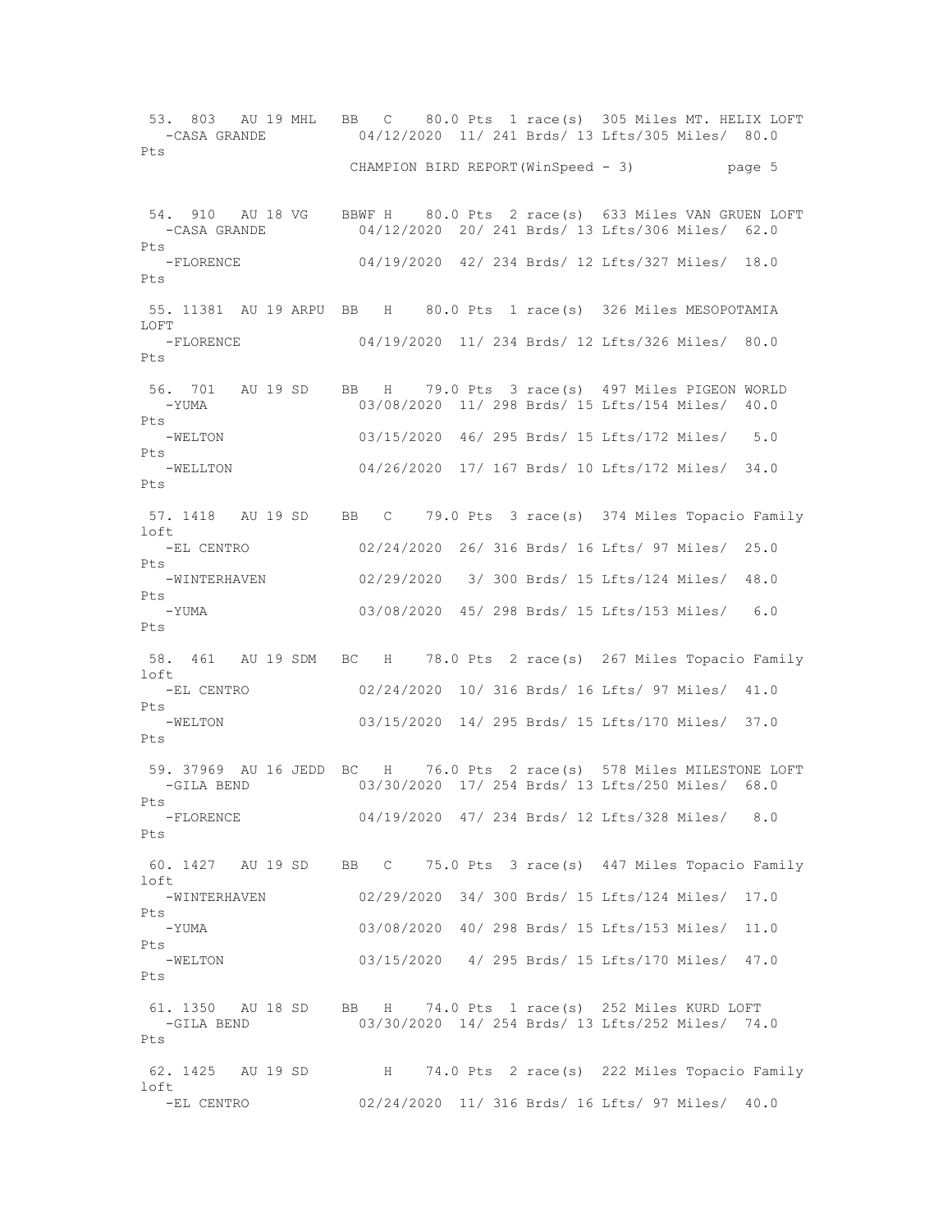53. 803 AU 19 MHL BB C 80.0 Pts 1 race(s) 305 Miles MT. HELIX LOFT -CASA GRANDE 04/12/2020 11/ 241 Brds/ 13 Lfts/305 Miles/ 80.0 Pts CHAMPION BIRD REPORT(WinSpeed - 3) page 5 54. 910 AU 18 VG BBWF H 80.0 Pts 2 race(s) 633 Miles VAN GRUEN LOFT -CASA GRANDE 04/12/2020 20/ 241 Brds/ 13 Lfts/306 Miles/ 62.0 Pts -FLORENCE 04/19/2020 42/ 234 Brds/ 12 Lfts/327 Miles/ 18.0 Pts 55. 11381 AU 19 ARPU BB H 80.0 Pts 1 race(s) 326 Miles MESOPOTAMIA LOFT -FLORENCE 04/19/2020 11/ 234 Brds/ 12 Lfts/326 Miles/ 80.0 Pts 56. 701 AU 19 SD BB H 79.0 Pts 3 race(s) 497 Miles PIGEON WORLD -YUMA 03/08/2020 11/ 298 Brds/ 15 Lfts/154 Miles/ 40.0 Pts<br>-WELTON 03/15/2020 46/ 295 Brds/ 15 Lfts/172 Miles/ 5.0 Pts -WELLTON 04/26/2020 17/ 167 Brds/ 10 Lfts/172 Miles/ 34.0 Pts 57. 1418 AU 19 SD BB C 79.0 Pts 3 race(s) 374 Miles Topacio Family loft -EL CENTRO 02/24/2020 26/ 316 Brds/ 16 Lfts/ 97 Miles/ 25.0 Pts<br>-WINTERHAVEN 02/29/2020 3/ 300 Brds/ 15 Lfts/124 Miles/ 48.0 Pts -YUMA 03/08/2020 45/ 298 Brds/ 15 Lfts/153 Miles/ 6.0 Pts 58. 461 AU 19 SDM BC H 78.0 Pts 2 race(s) 267 Miles Topacio Family loft -EL CENTRO 02/24/2020 10/ 316 Brds/ 16 Lfts/ 97 Miles/ 41.0  $P_{\text{t}}$ s -WELTON 03/15/2020 14/ 295 Brds/ 15 Lfts/170 Miles/ 37.0 Pts 59. 37969 AU 16 JEDD BC H 76.0 Pts 2 race(s) 578 Miles MILESTONE LOFT -GILA BEND 03/30/2020 17/ 254 Brds/ 13 Lfts/250 Miles/ 68.0 Pts<br>-FLORENCE 04/19/2020 47/ 234 Brds/ 12 Lfts/328 Miles/ 8.0 Pts 60. 1427 AU 19 SD BB C 75.0 Pts 3 race(s) 447 Miles Topacio Family loft<br>-WINTERHAVEN 02/29/2020 34/ 300 Brds/ 15 Lfts/124 Miles/ 17.0 Pts -YUMA 03/08/2020 40/ 298 Brds/ 15 Lfts/153 Miles/ 11.0 Pts -WELTON 03/15/2020 4/ 295 Brds/ 15 Lfts/170 Miles/ 47.0 Pts 61. 1350 AU 18 SD BB H 74.0 Pts 1 race(s) 252 Miles KURD LOFT<br>-GILA BEND 03/30/2020 14/254 Brds/ 13 Lfts/252 Miles/ 74. 03/30/2020 14/ 254 Brds/ 13 Lfts/252 Miles/ 74.0 Pts 62. 1425 AU 19 SD H 74.0 Pts 2 race(s) 222 Miles Topacio Family loft -EL CENTRO 02/24/2020 11/ 316 Brds/ 16 Lfts/ 97 Miles/ 40.0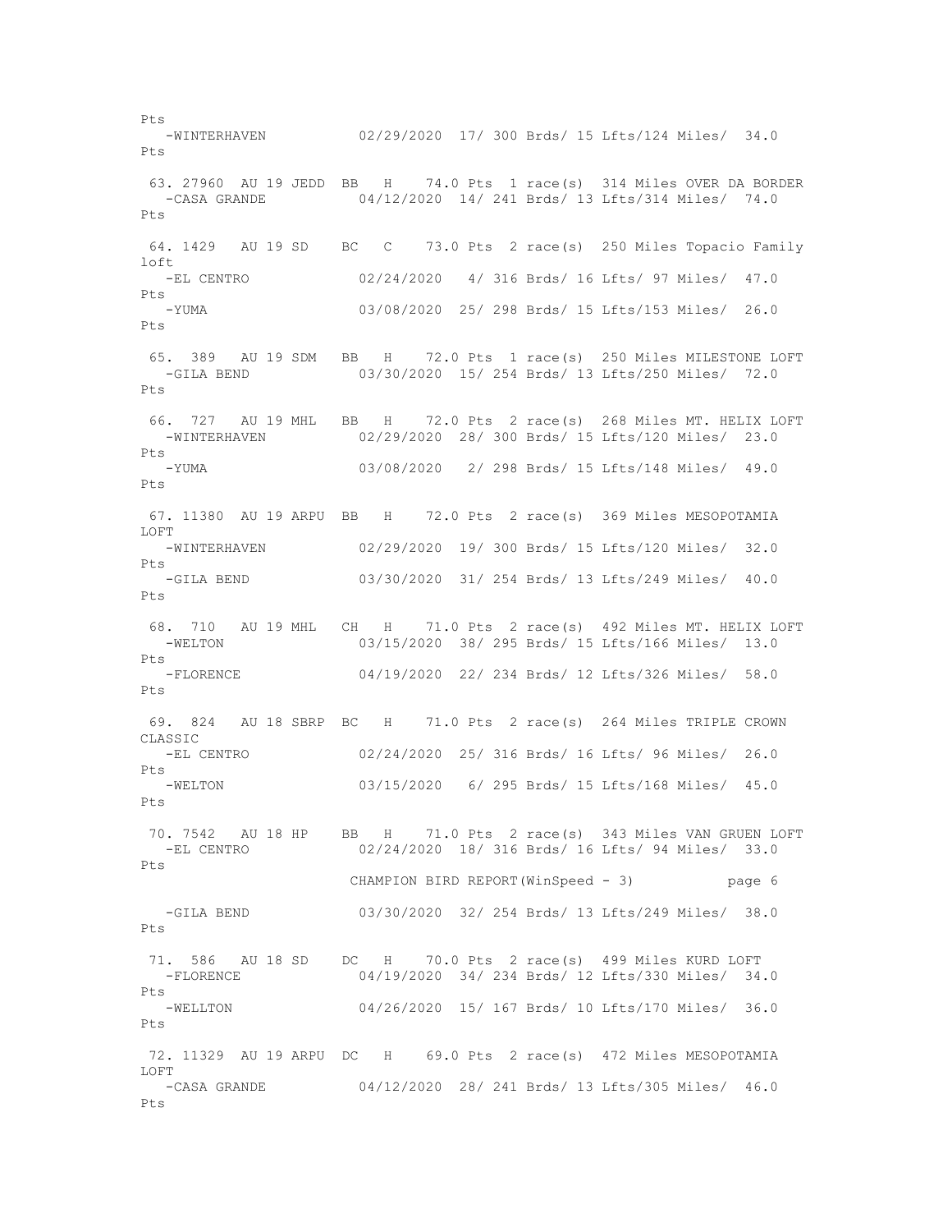-WINTERHAVEN 02/29/2020 17/ 300 Brds/ 15 Lfts/124 Miles/ 34.0 Pts 63. 27960 AU 19 JEDD BB H 74.0 Pts 1 race(s) 314 Miles OVER DA BORDER -CASA GRANDE 04/12/2020 14/ 241 Brds/ 13 Lfts/314 Miles/ 74.0 Pts 64. 1429 AU 19 SD BC C 73.0 Pts 2 race(s) 250 Miles Topacio Family  $ln$  -EL CENTRO 02/24/2020 4/ 316 Brds/ 16 Lfts/ 97 Miles/ 47.0 Pts -YUMA 03/08/2020 25/ 298 Brds/ 15 Lfts/153 Miles/ 26.0 Pts 65. 389 AU 19 SDM BB H 72.0 Pts 1 race(s) 250 Miles MILESTONE LOFT -GILA BEND 03/30/2020 15/ 254 Brds/ 13 Lfts/250 Miles/ 72.0 Pts 66. 727 AU 19 MHL BB H 72.0 Pts 2 race(s) 268 Miles MT. HELIX LOFT -WINTERHAVEN 02/29/2020 28/ 300 Brds/ 15 Lfts/120 Miles/ 23.0 Pts -YUMA 03/08/2020 2/ 298 Brds/ 15 Lfts/148 Miles/ 49.0 Pts 67. 11380 AU 19 ARPU BB H 72.0 Pts 2 race(s) 369 Miles MESOPOTAMIA LOFT -WINTERHAVEN 02/29/2020 19/ 300 Brds/ 15 Lfts/120 Miles/ 32.0 Pts -GILA BEND 03/30/2020 31/ 254 Brds/ 13 Lfts/249 Miles/ 40.0 Pts 68. 710 AU 19 MHL CH H 71.0 Pts 2 race(s) 492 Miles MT. HELIX LOFT -WELTON 03/15/2020 38/ 295 Brds/ 15 Lfts/166 Miles/ 13.0 Pts<br>-FLORENCE 04/19/2020 22/ 234 Brds/ 12 Lfts/326 Miles/ 58.0 Pts 69. 824 AU 18 SBRP BC H 71.0 Pts 2 race(s) 264 Miles TRIPLE CROWN CLASSIC -EL CENTRO 02/24/2020 25/ 316 Brds/ 16 Lfts/ 96 Miles/ 26.0 Pts 03/15/2020 6/ 295 Brds/ 15 Lfts/168 Miles/ 45.0 Pts 70. 7542 AU 18 HP BB H 71.0 Pts 2 race(s) 343 Miles VAN GRUEN LOFT -EL CENTRO 02/24/2020 18/ 316 Brds/ 16 Lfts/ 94 Miles/ 33.0 Pts CHAMPION BIRD REPORT(WinSpeed - 3) page 6 -GILA BEND 03/30/2020 32/ 254 Brds/ 13 Lfts/249 Miles/ 38.0 Pts 71. 586 AU 18 SD DC H 70.0 Pts 2 race(s) 499 Miles KURD LOFT -FLORENCE 04/19/2020 34/ 234 Brds/ 12 Lfts/330 Miles/ 34.0 Pts -WELLTON 04/26/2020 15/ 167 Brds/ 10 Lfts/170 Miles/ 36.0 Pts 72. 11329 AU 19 ARPU DC H 69.0 Pts 2 race(s) 472 Miles MESOPOTAMIA LOFT -CASA GRANDE 04/12/2020 28/ 241 Brds/ 13 Lfts/305 Miles/ 46.0 Pts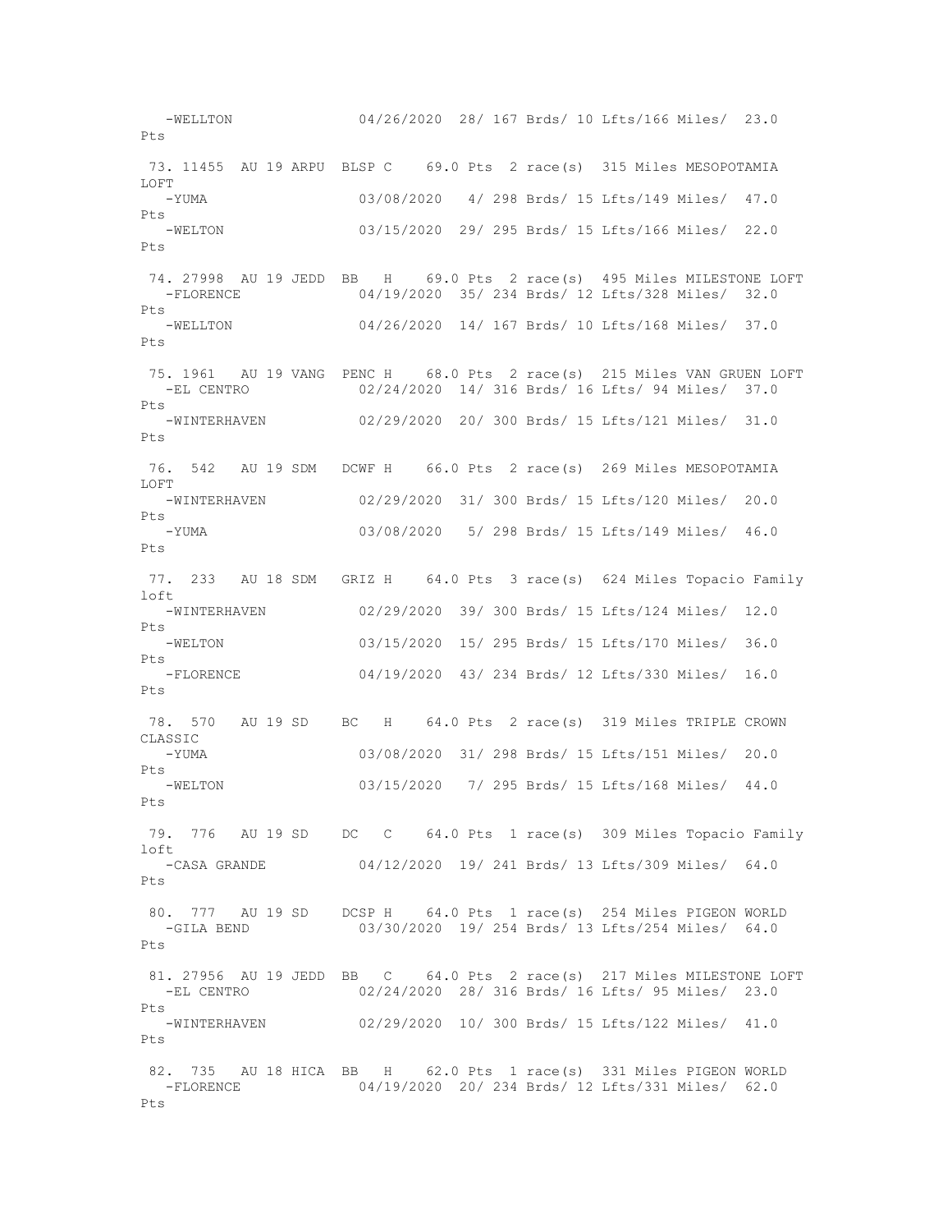-WELLTON 04/26/2020 28/ 167 Brds/ 10 Lfts/166 Miles/ 23.0 Pts 73. 11455 AU 19 ARPU BLSP C 69.0 Pts 2 race(s) 315 Miles MESOPOTAMIA LOFT -YUMA 03/08/2020 4/ 298 Brds/ 15 Lfts/149 Miles/ 47.0 Pts -WELTON 03/15/2020 29/ 295 Brds/ 15 Lfts/166 Miles/ 22.0 Pts 74. 27998 AU 19 JEDD BB H 69.0 Pts 2 race(s) 495 Miles MILESTONE LOFT -FLORENCE 04/19/2020 35/ 234 Brds/ 12 Lfts/328 Miles/ 32.0 Pts -WELLTON 04/26/2020 14/ 167 Brds/ 10 Lfts/168 Miles/ 37.0 Pts 75. 1961 AU 19 VANG PENC H 68.0 Pts 2 race(s) 215 Miles VAN GRUEN LOFT -EL CENTRO 02/24/2020 14/ 316 Brds/ 16 Lfts/ 94 Miles/ 37.0 Pts<br>-WINTERHAVEN 02/29/2020 20/ 300 Brds/ 15 Lfts/121 Miles/ 31.0 Pts 76. 542 AU 19 SDM DCWF H 66.0 Pts 2 race(s) 269 Miles MESOPOTAMIA LOFT -WINTERHAVEN 02/29/2020 31/ 300 Brds/ 15 Lfts/120 Miles/ 20.0 Pts -YUMA 03/08/2020 5/ 298 Brds/ 15 Lfts/149 Miles/ 46.0  $P_{\text{t}}$ s 77. 233 AU 18 SDM GRIZ H 64.0 Pts 3 race(s) 624 Miles Topacio Family loft -WINTERHAVEN 02/29/2020 39/ 300 Brds/ 15 Lfts/124 Miles/ 12.0 Pts -WELTON 03/15/2020 15/ 295 Brds/ 15 Lfts/170 Miles/ 36.0 Pts<br>-FLORENCE 04/19/2020 43/ 234 Brds/ 12 Lfts/330 Miles/ 16.0 Pts 78. 570 AU 19 SD BC H 64.0 Pts 2 race(s) 319 Miles TRIPLE CROWN CLASSIC<br>-YUMA 03/08/2020 31/ 298 Brds/ 15 Lfts/151 Miles/ 20.0 Pts<br>-WELTON 03/15/2020 7/ 295 Brds/ 15 Lfts/168 Miles/ 44.0 Pts 79. 776 AU 19 SD DC C 64.0 Pts 1 race(s) 309 Miles Topacio Family loft -CASA GRANDE 04/12/2020 19/ 241 Brds/ 13 Lfts/309 Miles/ 64.0 Pts 80. 777 AU 19 SD DCSP H 64.0 Pts 1 race(s) 254 Miles PIGEON WORLD -GILA BEND 03/30/2020 19/ 254 Brds/ 13 Lfts/254 Miles/ 64.0 Pts 81. 27956 AU 19 JEDD BB C 64.0 Pts 2 race(s) 217 Miles MILESTONE LOFT -EL CENTRO 02/24/2020 28/ 316 Brds/ 16 Lfts/ 95 Miles/ 23.0 Pts -WINTERHAVEN 02/29/2020 10/ 300 Brds/ 15 Lfts/122 Miles/ 41.0 Pts 82. 735 AU 18 HICA BB H 62.0 Pts 1 race(s) 331 Miles PIGEON WORLD -FLORENCE 04/19/2020 20/ 234 Brds/ 12 Lfts/331 Miles/ 62.0 Pts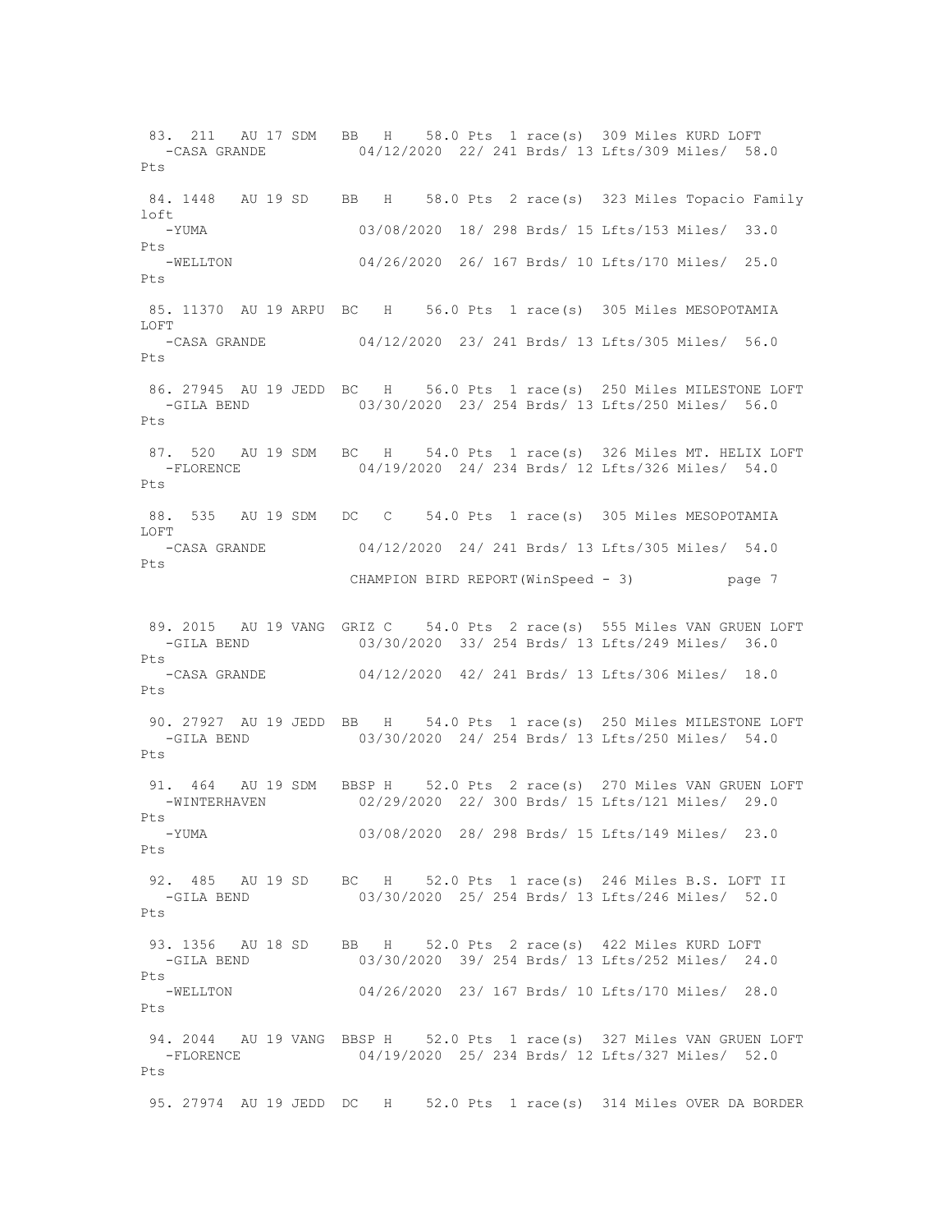83. 211 AU 17 SDM BB H 58.0 Pts 1 race(s) 309 Miles KURD LOFT -CASA GRANDE 04/12/2020 22/ 241 Brds/ 13 Lfts/309 Miles/ 58.0 Pts 84. 1448 AU 19 SD BB H 58.0 Pts 2 race(s) 323 Miles Topacio Family loft -YUMA 03/08/2020 18/ 298 Brds/ 15 Lfts/153 Miles/ 33.0 Pts -WELLTON 04/26/2020 26/ 167 Brds/ 10 Lfts/170 Miles/ 25.0 Pts 85. 11370 AU 19 ARPU BC H 56.0 Pts 1 race(s) 305 Miles MESOPOTAMIA LOFT<br>-CASA GRANDE 04/12/2020 23/ 241 Brds/ 13 Lfts/305 Miles/ 56.0 Pts 86. 27945 AU 19 JEDD BC H 56.0 Pts 1 race(s) 250 Miles MILESTONE LOFT -GILA BEND 03/30/2020 23/ 254 Brds/ 13 Lfts/250 Miles/ 56.0  $P_{\text{t}}$ s 87. 520 AU 19 SDM BC H 54.0 Pts 1 race(s) 326 Miles MT. HELIX LOFT -FLORENCE 04/19/2020 24/ 234 Brds/ 12 Lfts/326 Miles/ 54.0 Pts 88. 535 AU 19 SDM DC C 54.0 Pts 1 race(s) 305 Miles MESOPOTAMIA LOFT<br>-CASA GRANDE 04/12/2020 24/ 241 Brds/ 13 Lfts/305 Miles/ 54.0 Pts CHAMPION BIRD REPORT(WinSpeed - 3) page 7 89. 2015 AU 19 VANG GRIZ C 54.0 Pts 2 race(s) 555 Miles VAN GRUEN LOFT<br>03/30/2020 33/ 254 Brds/ 13 Lfts/249 Miles/ 36.0 03/30/2020 33/ 254 Brds/ 13 Lfts/249 Miles/ 36.0 Pts<br>-CASA GRANDE 04/12/2020 42/ 241 Brds/ 13 Lfts/306 Miles/ 18.0 Pts 90. 27927 AU 19 JEDD BB H 54.0 Pts 1 race(s) 250 Miles MILESTONE LOFT -GILA BEND 03/30/2020 24/ 254 Brds/ 13 Lfts/250 Miles/ 54.0 Pts 91. 464 AU 19 SDM BBSP H 52.0 Pts 2 race(s) 270 Miles VAN GRUEN LOFT -WINTERHAVEN 02/29/2020 22/ 300 Brds/ 15 Lfts/121 Miles/ 29.0 Pts -YUMA 03/08/2020 28/ 298 Brds/ 15 Lfts/149 Miles/ 23.0 Pts 92. 485 AU 19 SD BC H 52.0 Pts 1 race(s) 246 Miles B.S. LOFT II -GILA BEND 03/30/2020 25/ 254 Brds/ 13 Lfts/246 Miles/ 52.0 Pts 93. 1356 AU 18 SD BB H 52.0 Pts 2 race(s) 422 Miles KURD LOFT -GILA BEND 03/30/2020 39/ 254 Brds/ 13 Lfts/252 Miles/ 24.0 Pts -WELLTON 04/26/2020 23/ 167 Brds/ 10 Lfts/170 Miles/ 28.0 Pts 94. 2044 AU 19 VANG BBSP H 52.0 Pts 1 race(s) 327 Miles VAN GRUEN LOFT -FLORENCE 04/19/2020 25/ 234 Brds/ 12 Lfts/327 Miles/ 52.0 Pts 95. 27974 AU 19 JEDD DC H 52.0 Pts 1 race(s) 314 Miles OVER DA BORDER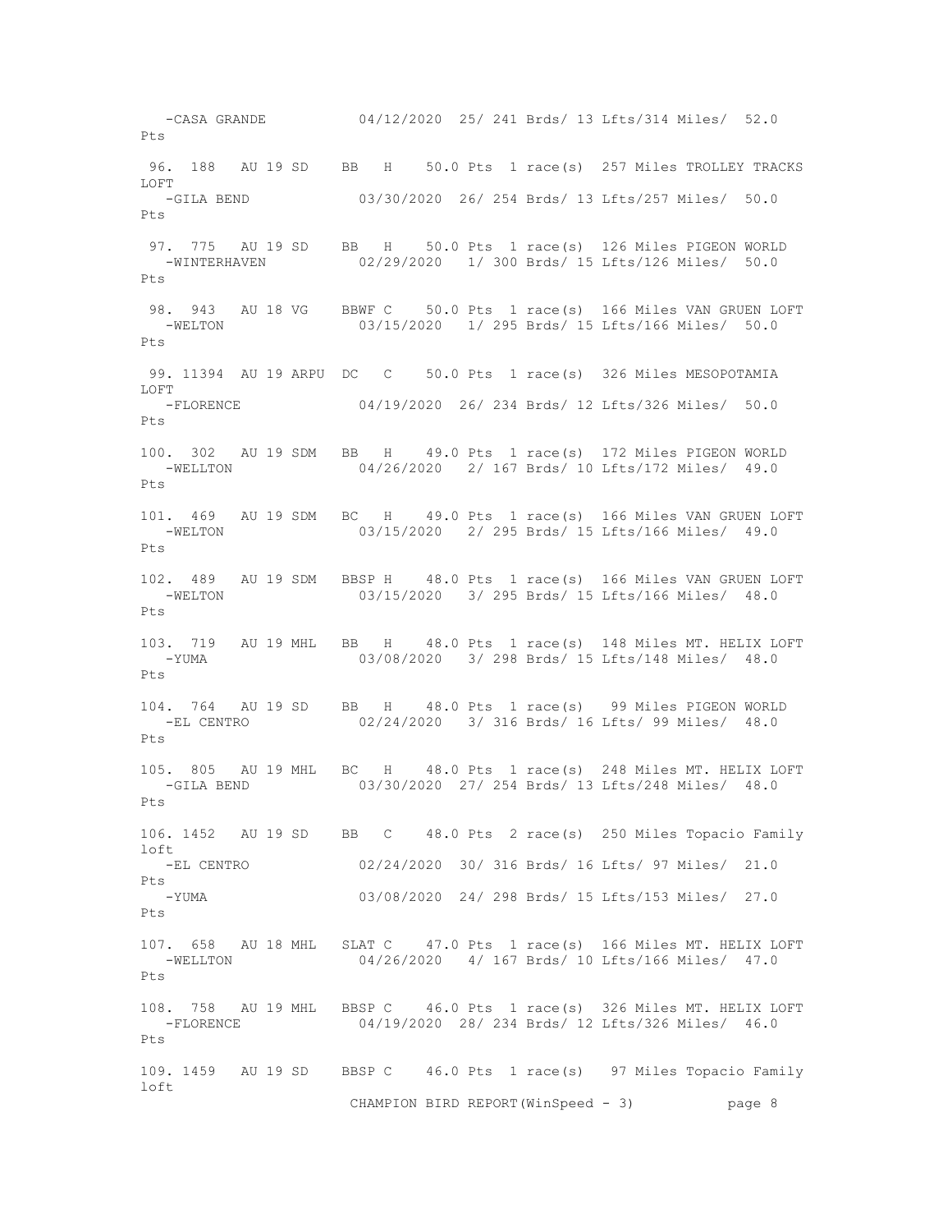-CASA GRANDE 04/12/2020 25/ 241 Brds/ 13 Lfts/314 Miles/ 52.0 Pts 96. 188 AU 19 SD BB H 50.0 Pts 1 race(s) 257 Miles TROLLEY TRACKS LOFT -GILA BEND 03/30/2020 26/ 254 Brds/ 13 Lfts/257 Miles/ 50.0 Pts 97. 775 AU 19 SD BB H 50.0 Pts 1 race(s) 126 Miles PIGEON WORLD -WINTERHAVEN 02/29/2020 1/ 300 Brds/ 15 Lfts/126 Miles/ 50.0 Pts 98. 943 AU 18 VG BBWF C 50.0 Pts 1 race(s) 166 Miles VAN GRUEN LOFT -WELTON 03/15/2020 1/ 295 Brds/ 15 Lfts/166 Miles/ 50.0 Pts 99. 11394 AU 19 ARPU DC C 50.0 Pts 1 race(s) 326 Miles MESOPOTAMIA LOFT -FLORENCE 04/19/2020 26/ 234 Brds/ 12 Lfts/326 Miles/ 50.0  $P_{\text{f}}$ s 100. 302 AU 19 SDM BB H 49.0 Pts 1 race(s) 172 Miles PIGEON WORLD -WELLTON 04/26/2020 2/ 167 Brds/ 10 Lfts/172 Miles/ 49.0 Pts 101. 469 AU 19 SDM BC H 49.0 Pts 1 race(s) 166 Miles VAN GRUEN LOFT -WELTON 03/15/2020 2/ 295 Brds/ 15 Lfts/166 Miles/ 49.0 Pts 102. 489 AU 19 SDM BBSP H 48.0 Pts 1 race(s) 166 Miles VAN GRUEN LOFT -WELTON 03/15/2020 3/ 295 Brds/ 15 Lfts/166 Miles/ 48.0 Pts 103. 719 AU 19 MHL BB H 48.0 Pts 1 race(s) 148 Miles MT. HELIX LOFT<br>-YIMA 03/08/2020 3/298 Brds/15 Lfts/148 Miles/ 48.0 03/08/2020 3/ 298 Brds/ 15 Lfts/148 Miles/ 48.0 Pts 104. 764 AU 19 SD BB H 48.0 Pts 1 race(s) 99 Miles PIGEON WORLD -EL CENTRO 02/24/2020 3/ 316 Brds/ 16 Lfts/ 99 Miles/ 48.0  $P_{\text{t}}$ s 105. 805 AU 19 MHL BC H 48.0 Pts 1 race(s) 248 Miles MT. HELIX LOFT<br>-GILA BEND 03/30/2020 27/ 254 Brds/ 13 Lfts/248 Miles/ 48.0 03/30/2020 27/ 254 Brds/ 13 Lfts/248 Miles/ 48.0  $P + g$ 106. 1452 AU 19 SD BB C 48.0 Pts 2 race(s) 250 Miles Topacio Family loft -EL CENTRO 02/24/2020 30/ 316 Brds/ 16 Lfts/ 97 Miles/ 21.0 Pts 03/08/2020 24/ 298 Brds/ 15 Lfts/153 Miles/ 27.0 Pts 107. 658 AU 18 MHL SLAT C 47.0 Pts 1 race(s) 166 Miles MT. HELIX LOFT -WELLTON 04/26/2020 4/ 167 Brds/ 10 Lfts/166 Miles/ 47.0  $P_{\text{t}}$ s 108. 758 AU 19 MHL BBSP C 46.0 Pts 1 race(s) 326 Miles MT. HELIX LOFT<br>-FLORENCE 04/19/2020 28/ 234 Brds/ 12 Lfts/326 Miles/ 46.0 04/19/2020 28/ 234 Brds/ 12 Lfts/326 Miles/ 46.0 Pts 109. 1459 AU 19 SD BBSP C 46.0 Pts 1 race(s) 97 Miles Topacio Family loft CHAMPION BIRD REPORT(WinSpeed - 3) page 8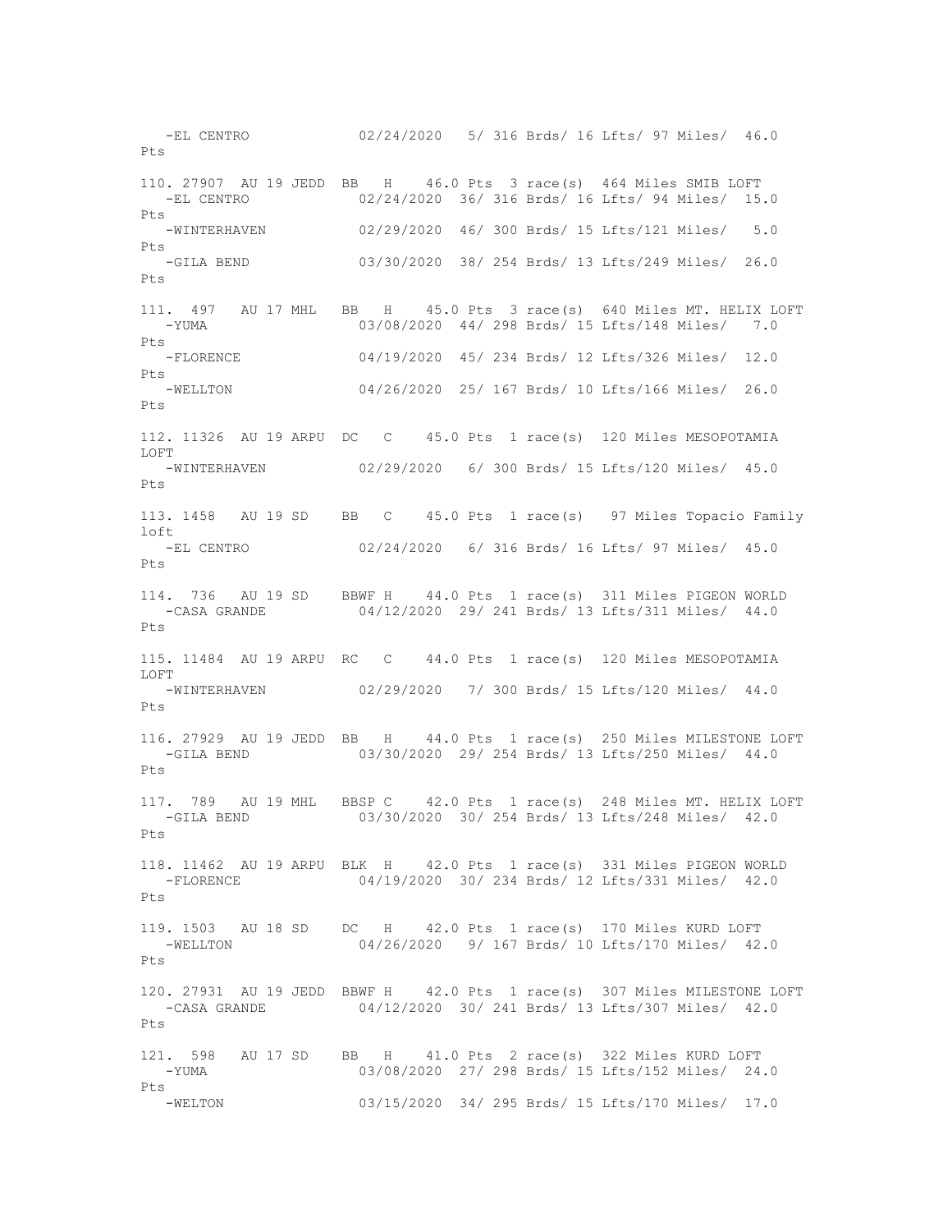-EL CENTRO 02/24/2020 5/ 316 Brds/ 16 Lfts/ 97 Miles/ 46.0  $P_{\text{f}}$ s 110. 27907 AU 19 JEDD BB H 46.0 Pts 3 race(s) 464 Miles SMIB LOFT -EL CENTRO 02/24/2020 36/ 316 Brds/ 16 Lfts/ 94 Miles/ 15.0 Pts -WINTERHAVEN 02/29/2020 46/ 300 Brds/ 15 Lfts/121 Miles/ 5.0 Pts -GILA BEND 03/30/2020 38/ 254 Brds/ 13 Lfts/249 Miles/ 26.0 Pts 111. 497 AU 17 MHL BB H 45.0 Pts 3 race(s) 640 Miles MT. HELIX LOFT -YUMA 03/08/2020 44/ 298 Brds/ 15 Lfts/148 Miles/ 7.0 Pts -FLORENCE 04/19/2020 45/ 234 Brds/ 12 Lfts/326 Miles/ 12.0 Pts -WELLTON 04/26/2020 25/ 167 Brds/ 10 Lfts/166 Miles/ 26.0 Pts 112. 11326 AU 19 ARPU DC C 45.0 Pts 1 race(s) 120 Miles MESOPOTAMIA LOFT -WINTERHAVEN 02/29/2020 6/ 300 Brds/ 15 Lfts/120 Miles/ 45.0 Pts 113. 1458 AU 19 SD BB C 45.0 Pts 1 race(s) 97 Miles Topacio Family loft<br>-EL CENTRO 02/24/2020 6/ 316 Brds/ 16 Lfts/ 97 Miles/ 45.0 Pts 114. 736 AU 19 SD BBWF H 44.0 Pts 1 race(s) 311 Miles PIGEON WORLD -CASA GRANDE 04/12/2020 29/ 241 Brds/ 13 Lfts/311 Miles/ 44.0 Pts 115. 11484 AU 19 ARPU RC C 44.0 Pts 1 race(s) 120 Miles MESOPOTAMIA LOFT<br>-WINTERHAVEN 02/29/2020 7/ 300 Brds/ 15 Lfts/120 Miles/ 44.0 Pts 116. 27929 AU 19 JEDD BB H 44.0 Pts 1 race(s) 250 Miles MILESTONE LOFT -GILA BEND 03/30/2020 29/ 254 Brds/ 13 Lfts/250 Miles/ 44.0 Pts 117. 789 AU 19 MHL BBSP C 42.0 Pts 1 race(s) 248 Miles MT. HELIX LOFT -GILA BEND 03/30/2020 30/ 254 Brds/ 13 Lfts/248 Miles/ 42.0 Pts 118. 11462 AU 19 ARPU BLK H 42.0 Pts 1 race(s) 331 Miles PIGEON WORLD -FLORENCE 04/19/2020 30/ 234 Brds/ 12 Lfts/331 Miles/ 42.0  $P_{\text{max}}$ 119. 1503 AU 18 SD DC H 42.0 Pts 1 race(s) 170 Miles KURD LOFT -WELLTON 04/26/2020 9/ 167 Brds/ 10 Lfts/170 Miles/ 42.0 Pts 120. 27931 AU 19 JEDD BBWF H 42.0 Pts 1 race(s) 307 Miles MILESTONE LOFT -CASA GRANDE 04/12/2020 30/ 241 Brds/ 13 Lfts/307 Miles/ 42.0 Pts 121. 598 AU 17 SD BB H 41.0 Pts 2 race(s) 322 Miles KURD LOFT -YUMA 03/08/2020 27/ 298 Brds/ 15 Lfts/152 Miles/ 24.0 Pts -WELTON 03/15/2020 34/ 295 Brds/ 15 Lfts/170 Miles/ 17.0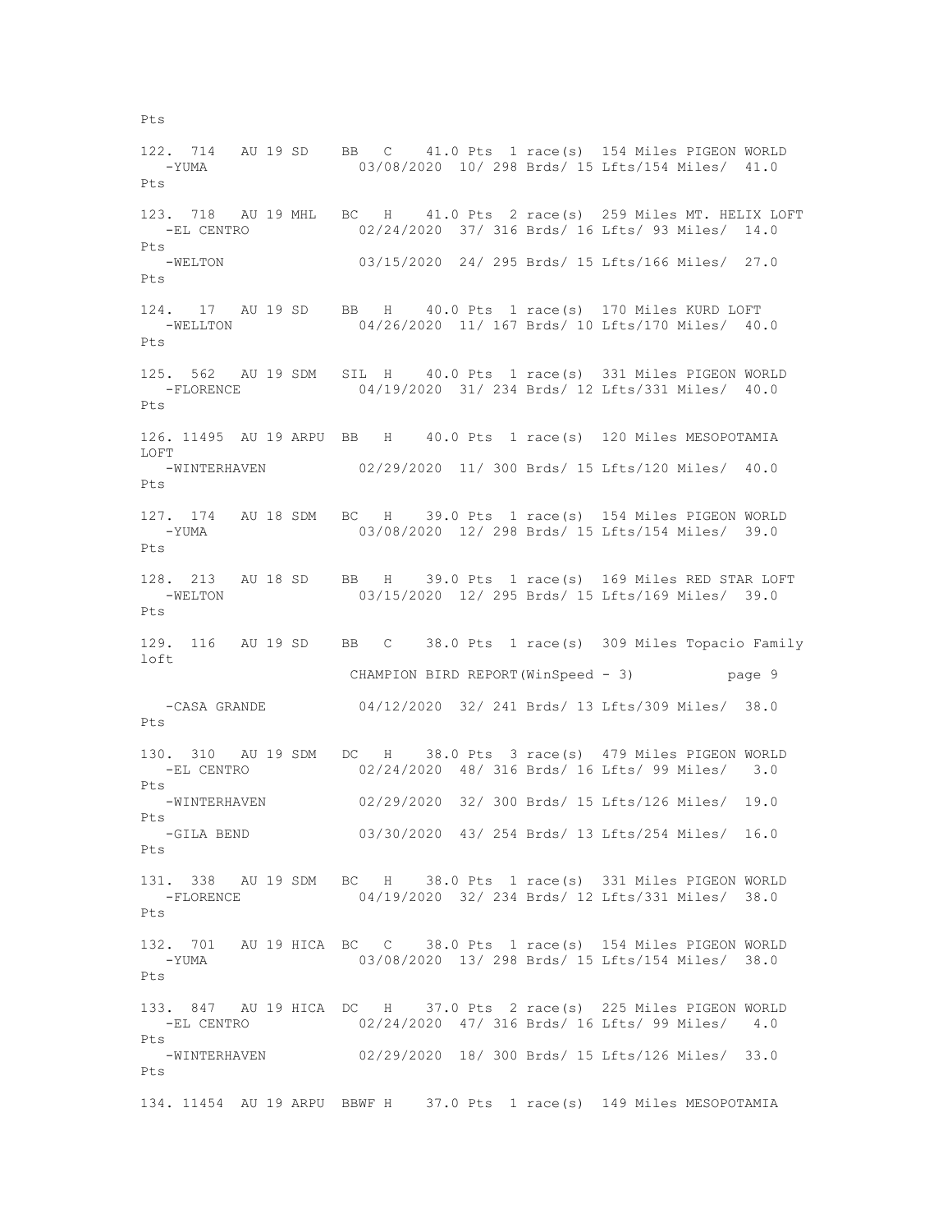122. 714 AU 19 SD BB C 41.0 Pts 1 race(s) 154 Miles PIGEON WORLD -YUMA 03/08/2020 10/ 298 Brds/ 15 Lfts/154 Miles/ 41.0 Pts 123. 718 AU 19 MHL BC H 41.0 Pts 2 race(s) 259 Miles MT. HELIX LOFT -EL CENTRO 02/24/2020 37/ 316 Brds/ 16 Lfts/ 93 Miles/ 14.0 Pts -WELTON 03/15/2020 24/ 295 Brds/ 15 Lfts/166 Miles/ 27.0 Pts 124. 17 AU 19 SD BB H 40.0 Pts 1 race(s) 170 Miles KURD LOFT<br>-WELLTON 04/26/2020 11/167 Brds/10 Lfts/170 Miles/ 40. 04/26/2020 11/ 167 Brds/ 10 Lfts/170 Miles/ 40.0 Pts 125. 562 AU 19 SDM SIL H 40.0 Pts 1 race(s) 331 Miles PIGEON WORLD -FLORENCE 04/19/2020 31/ 234 Brds/ 12 Lfts/331 Miles/ 40.0 Pts 126. 11495 AU 19 ARPU BB H 40.0 Pts 1 race(s) 120 Miles MESOPOTAMIA LOFT -WINTERHAVEN 02/29/2020 11/ 300 Brds/ 15 Lfts/120 Miles/ 40.0 Pts 127. 174 AU 18 SDM BC H 39.0 Pts 1 race(s) 154 Miles PIGEON WORLD -YUMA 03/08/2020 12/ 298 Brds/ 15 Lfts/154 Miles/ 39.0  $P+s$ 128. 213 AU 18 SD BB H 39.0 Pts 1 race(s) 169 Miles RED STAR LOFT -WELTON 03/15/2020 12/ 295 Brds/ 15 Lfts/169 Miles/ 39.0 Pts 129. 116 AU 19 SD BB C 38.0 Pts 1 race(s) 309 Miles Topacio Family loft CHAMPION BIRD REPORT(WinSpeed - 3) page 9 -CASA GRANDE 04/12/2020 32/ 241 Brds/ 13 Lfts/309 Miles/ 38.0 Pts 130. 310 AU 19 SDM DC H 38.0 Pts 3 race(s) 479 Miles PIGEON WORLD -EL CENTRO 02/24/2020 48/ 316 Brds/ 16 Lfts/ 99 Miles/ 3.0 Pts -WINTERHAVEN 02/29/2020 32/ 300 Brds/ 15 Lfts/126 Miles/ 19.0 Pts -GILA BEND 03/30/2020 43/ 254 Brds/ 13 Lfts/254 Miles/ 16.0 Pts 131. 338 AU 19 SDM BC H 38.0 Pts 1 race(s) 331 Miles PIGEON WORLD -FLORENCE 04/19/2020 32/ 234 Brds/ 12 Lfts/331 Miles/ 38.0  $P + g$ 132. 701 AU 19 HICA BC C 38.0 Pts 1 race(s) 154 Miles PIGEON WORLD -YUMA 03/08/2020 13/ 298 Brds/ 15 Lfts/154 Miles/ 38.0  $P_{\text{t}}$ s 133. 847 AU 19 HICA DC H 37.0 Pts 2 race(s) 225 Miles PIGEON WORLD -EL CENTRO 02/24/2020 47/ 316 Brds/ 16 Lfts/ 99 Miles/ 4.0 Pts -WINTERHAVEN 02/29/2020 18/ 300 Brds/ 15 Lfts/126 Miles/ 33.0 Pts 134. 11454 AU 19 ARPU BBWF H 37.0 Pts 1 race(s) 149 Miles MESOPOTAMIA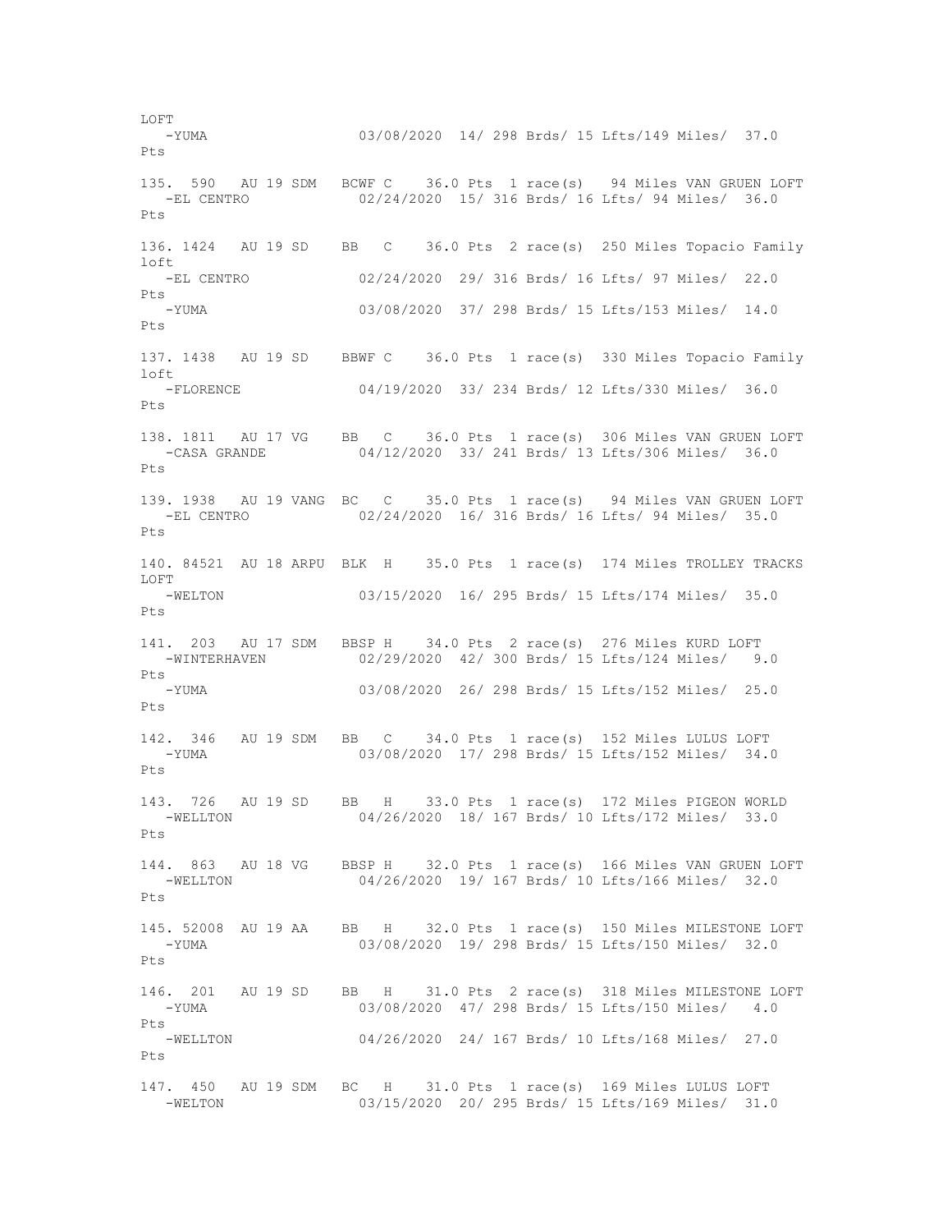-YUMA 03/08/2020 14/ 298 Brds/ 15 Lfts/149 Miles/ 37.0 Pts 135. 590 AU 19 SDM BCWF C 36.0 Pts 1 race(s) 94 Miles VAN GRUEN LOFT<br>-EL CENTRO 02/24/2020 15/316 Brds/16 Lfts/94 Miles/36.0 02/24/2020 15/ 316 Brds/ 16 Lfts/ 94 Miles/ 36.0 Pts 136. 1424 AU 19 SD BB C 36.0 Pts 2 race(s) 250 Miles Topacio Family  $ln$  -EL CENTRO 02/24/2020 29/ 316 Brds/ 16 Lfts/ 97 Miles/ 22.0 Pts -YUMA 03/08/2020 37/ 298 Brds/ 15 Lfts/153 Miles/ 14.0 Pts 137. 1438 AU 19 SD BBWF C 36.0 Pts 1 race(s) 330 Miles Topacio Family loft -FLORENCE 04/19/2020 33/ 234 Brds/ 12 Lfts/330 Miles/ 36.0 Pts 138. 1811 AU 17 VG BB C 36.0 Pts 1 race(s) 306 Miles VAN GRUEN LOFT<br>-CASA GRANDE 04/12/2020 33/ 241 Brds/ 13 Lfts/306 Miles/ 36.0 04/12/2020 33/ 241 Brds/ 13 Lfts/306 Miles/ 36.0  $P_{\text{f}}$ s 139. 1938 AU 19 VANG BC C 35.0 Pts 1 race(s) 94 Miles VAN GRUEN LOFT -EL CENTRO 02/24/2020 16/ 316 Brds/ 16 Lfts/ 94 Miles/ 35.0 Pts 140. 84521 AU 18 ARPU BLK H 35.0 Pts 1 race(s) 174 Miles TROLLEY TRACKS LOFT -WELTON 03/15/2020 16/ 295 Brds/ 15 Lfts/174 Miles/ 35.0 Pts 141. 203 AU 17 SDM BBSP H 34.0 Pts 2 race(s) 276 Miles KURD LOFT 02/29/2020 42/ 300 Brds/ 15 Lfts/124 Miles/ 9.0 Pts<br>-YUMA 03/08/2020 26/ 298 Brds/ 15 Lfts/152 Miles/ 25.0 Pts 142. 346 AU 19 SDM BB C 34.0 Pts 1 race(s) 152 Miles LULUS LOFT -YUMA 03/08/2020 17/ 298 Brds/ 15 Lfts/152 Miles/ 34.0 Pts 143. 726 AU 19 SD BB H 33.0 Pts 1 race(s) 172 Miles PIGEON WORLD<br>-WELLTON 04/26/2020 18/167 Brds/10 Lfts/172 Miles/ 33.0 04/26/2020 18/ 167 Brds/ 10 Lfts/172 Miles/ 33.0 Pts 144. 863 AU 18 VG BBSP H 32.0 Pts 1 race(s) 166 Miles VAN GRUEN LOFT -WELLTON 04/26/2020 19/ 167 Brds/ 10 Lfts/166 Miles/ 32.0  $P+s$ 145. 52008 AU 19 AA BB H 32.0 Pts 1 race(s) 150 Miles MILESTONE LOFT -YUMA 03/08/2020 19/ 298 Brds/ 15 Lfts/150 Miles/ 32.0 Pts 146. 201 AU 19 SD BB H 31.0 Pts 2 race(s) 318 Miles MILESTONE LOFT -YUMA 03/08/2020 47/ 298 Brds/ 15 Lfts/150 Miles/ 4.0 Pts -WELLTON 04/26/2020 24/ 167 Brds/ 10 Lfts/168 Miles/ 27.0 Pts 147. 450 AU 19 SDM BC H 31.0 Pts 1 race(s) 169 Miles LULUS LOFT 03/15/2020 20/ 295 Brds/ 15 Lfts/169 Miles/ 31.0

LOFT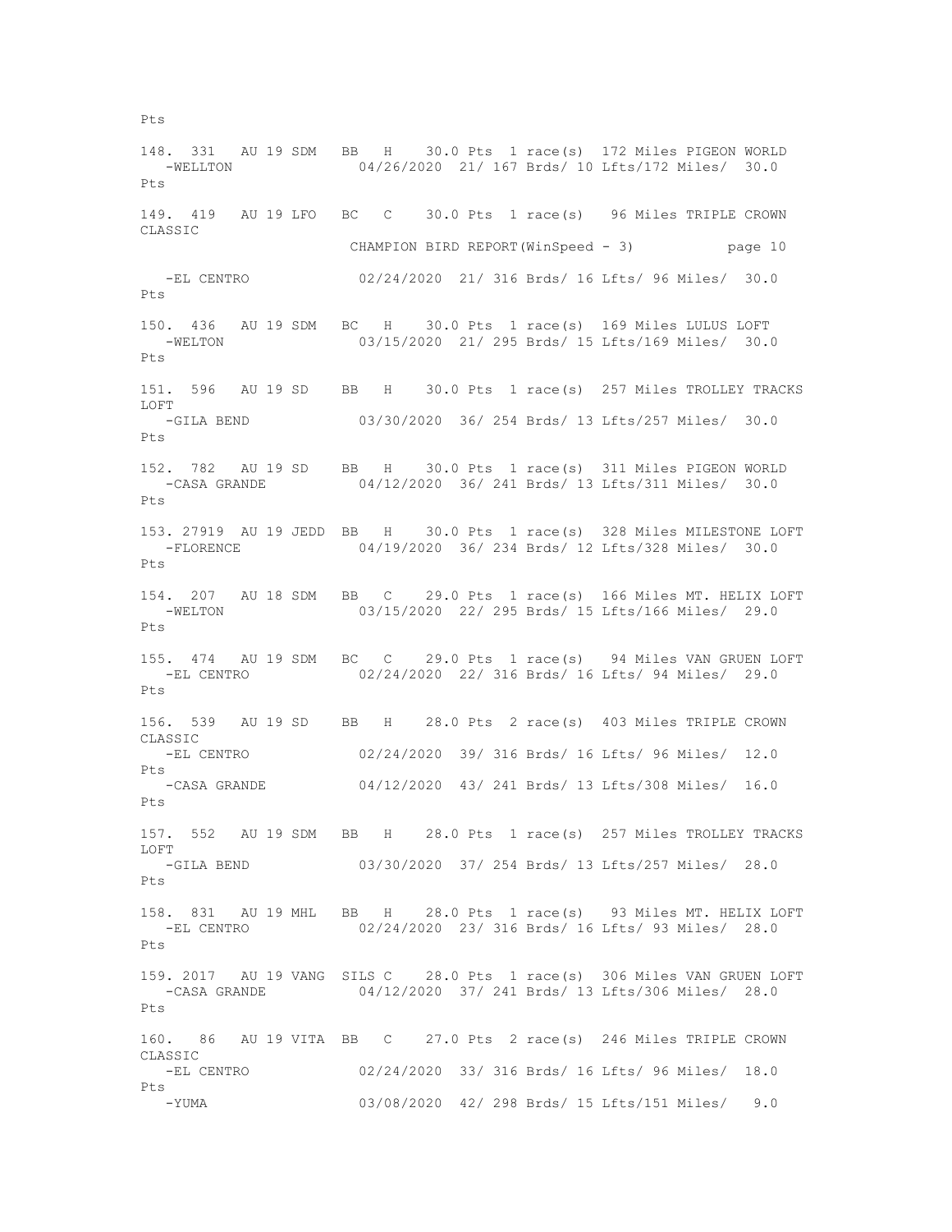148. 331 AU 19 SDM BB H 30.0 Pts 1 race(s) 172 Miles PIGEON WORLD -WELLTON 04/26/2020 21/ 167 Brds/ 10 Lfts/172 Miles/ 30.0 Pts 149. 419 AU 19 LFO BC C 30.0 Pts 1 race(s) 96 Miles TRIPLE CROWN CLASSIC CHAMPION BIRD REPORT(WinSpeed - 3) page 10 -EL CENTRO 02/24/2020 21/ 316 Brds/ 16 Lfts/ 96 Miles/ 30.0 Pts 150. 436 AU 19 SDM BC H 30.0 Pts 1 race(s) 169 Miles LULUS LOFT -WELTON 03/15/2020 21/ 295 Brds/ 15 Lfts/169 Miles/ 30.0 Pts 151. 596 AU 19 SD BB H 30.0 Pts 1 race(s) 257 Miles TROLLEY TRACKS LOFT<br>-GILA BEND 03/30/2020 36/ 254 Brds/ 13 Lfts/257 Miles/ 30.0 Pts 152. 782 AU 19 SD BB H 30.0 Pts 1 race(s) 311 Miles PIGEON WORLD -CASA GRANDE 04/12/2020 36/ 241 Brds/ 13 Lfts/311 Miles/ 30.0 Pts 153. 27919 AU 19 JEDD BB H 30.0 Pts 1 race(s) 328 Miles MILESTONE LOFT -FLORENCE 04/19/2020 36/ 234 Brds/ 12 Lfts/328 Miles/ 30.0 Pts 154. 207 AU 18 SDM BB C 29.0 Pts 1 race(s) 166 Miles MT. HELIX LOFT -WELTON 03/15/2020 22/ 295 Brds/ 15 Lfts/166 Miles/ 29.0 Pts 155. 474 AU 19 SDM BC C 29.0 Pts 1 race(s) 94 Miles VAN GRUEN LOFT 02/24/2020 22/ 316 Brds/ 16 Lfts/ 94 Miles/ 29.0 Pts 156. 539 AU 19 SD BB H 28.0 Pts 2 race(s) 403 Miles TRIPLE CROWN CLASSIC -EL CENTRO 02/24/2020 39/ 316 Brds/ 16 Lfts/ 96 Miles/ 12.0 Pts<br>-CASA GRANDE 04/12/2020 43/ 241 Brds/ 13 Lfts/308 Miles/ 16.0 Pts 157. 552 AU 19 SDM BB H 28.0 Pts 1 race(s) 257 Miles TROLLEY TRACKS LOFT -GILA BEND 03/30/2020 37/ 254 Brds/ 13 Lfts/257 Miles/ 28.0 Pts 158. 831 AU 19 MHL BB H 28.0 Pts 1 race(s) 93 Miles MT. HELIX LOFT -EL CENTRO 02/24/2020 23/ 316 Brds/ 16 Lfts/ 93 Miles/ 28.0 Pts 159. 2017 AU 19 VANG SILS C 28.0 Pts 1 race(s) 306 Miles VAN GRUEN LOFT -CASA GRANDE 04/12/2020 37/ 241 Brds/ 13 Lfts/306 Miles/ 28.0 Pts 160. 86 AU 19 VITA BB C 27.0 Pts 2 race(s) 246 Miles TRIPLE CROWN CLASSIC -EL CENTRO 02/24/2020 33/ 316 Brds/ 16 Lfts/ 96 Miles/ 18.0 Pts -YUMA 03/08/2020 42/ 298 Brds/ 15 Lfts/151 Miles/ 9.0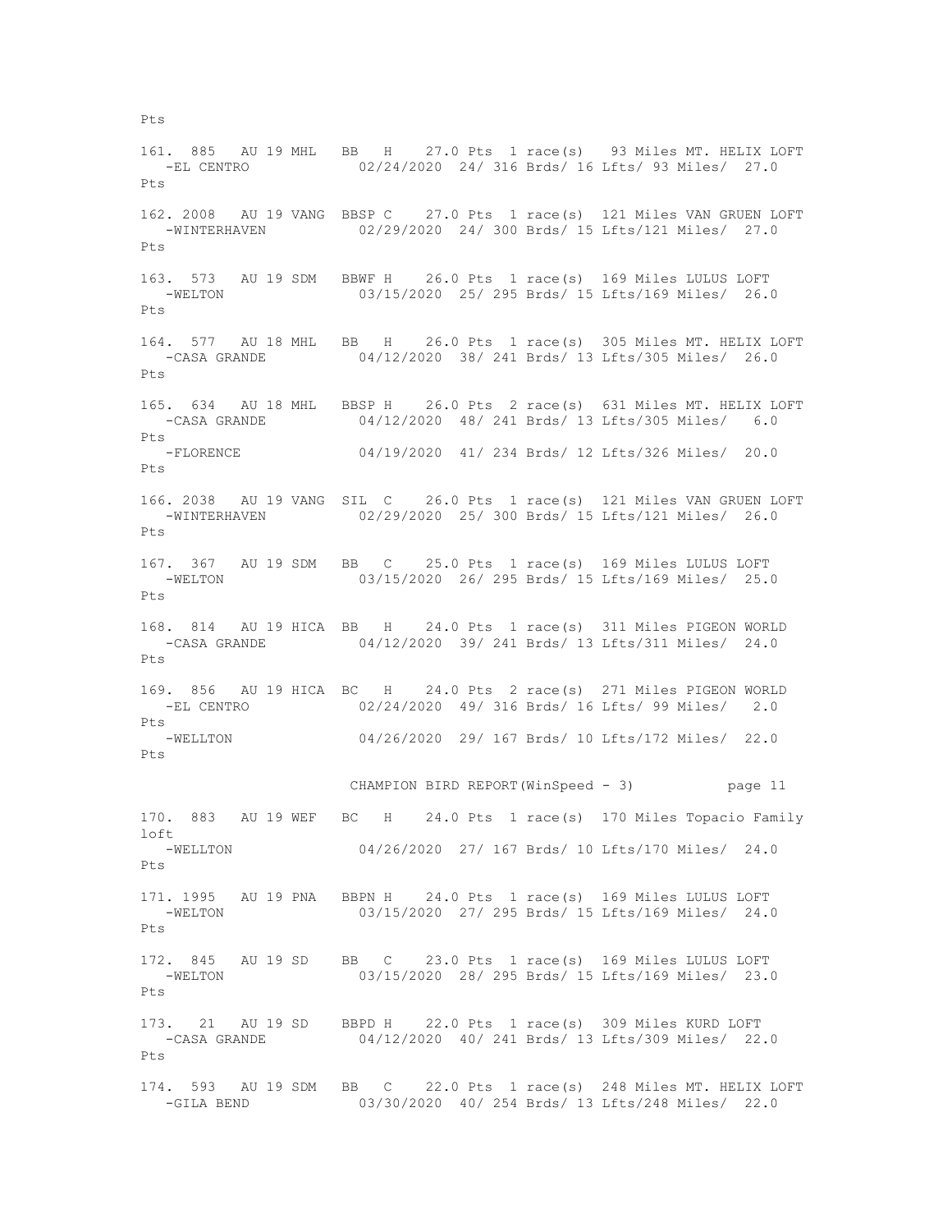161. 885 AU 19 MHL BB H 27.0 Pts 1 race(s) 93 Miles MT. HELIX LOFT -EL CENTRO 02/24/2020 24/ 316 Brds/ 16 Lfts/ 93 Miles/ 27.0 Pts 162. 2008 AU 19 VANG BBSP C 27.0 Pts 1 race(s) 121 Miles VAN GRUEN LOFT -WINTERHAVEN 02/29/2020 24/ 300 Brds/ 15 Lfts/121 Miles/ 27.0 Pts 163. 573 AU 19 SDM BBWF H 26.0 Pts 1 race(s) 169 Miles LULUS LOFT -WELTON 03/15/2020 25/ 295 Brds/ 15 Lfts/169 Miles/ 26.0  $P_{\text{t}}$ s 164. 577 AU 18 MHL BB H 26.0 Pts 1 race(s) 305 Miles MT. HELIX LOFT -CASA GRANDE 04/12/2020 38/ 241 Brds/ 13 Lfts/305 Miles/ 26.0 Pts 165. 634 AU 18 MHL BBSP H 26.0 Pts 2 race(s) 631 Miles MT. HELIX LOFT<br>-CASA GRANDE 04/12/2020 48/241 Brds/13 Lfts/305 Miles/ 6.0 04/12/2020 48/ 241 Brds/ 13 Lfts/305 Miles/ 6.0 Pts -FLORENCE 04/19/2020 41/ 234 Brds/ 12 Lfts/326 Miles/ 20.0  $P_{\text{max}}$ 166. 2038 AU 19 VANG SIL C 26.0 Pts 1 race(s) 121 Miles VAN GRUEN LOFT -WINTERHAVEN 02/29/2020 25/ 300 Brds/ 15 Lfts/121 Miles/ 26.0 Pts 167. 367 AU 19 SDM BB C 25.0 Pts 1 race(s) 169 Miles LULUS LOFT -WELTON 03/15/2020 26/ 295 Brds/ 15 Lfts/169 Miles/ 25.0 Pts 168. 814 AU 19 HICA BB H 24.0 Pts 1 race(s) 311 Miles PIGEON WORLD -CASA GRANDE 04/12/2020 39/ 241 Brds/ 13 Lfts/311 Miles/ 24.0  $P_{\text{f}}$ s 169. 856 AU 19 HICA BC H 24.0 Pts 2 race(s) 271 Miles PIGEON WORLD -EL CENTRO 02/24/2020 49/ 316 Brds/ 16 Lfts/ 99 Miles/ 2.0 Pts -WELLTON 04/26/2020 29/ 167 Brds/ 10 Lfts/172 Miles/ 22.0 Pts CHAMPION BIRD REPORT(WinSpeed - 3) page 11 170. 883 AU 19 WEF BC H 24.0 Pts 1 race(s) 170 Miles Topacio Family loft -WELLTON 04/26/2020 27/ 167 Brds/ 10 Lfts/170 Miles/ 24.0 Pts 171. 1995 AU 19 PNA BBPN H 24.0 Pts 1 race(s) 169 Miles LULUS LOFT -WELTON 03/15/2020 27/ 295 Brds/ 15 Lfts/169 Miles/ 24.0 Pts 172. 845 AU 19 SD BB C 23.0 Pts 1 race(s) 169 Miles LULUS LOFT -WELTON 03/15/2020 28/ 295 Brds/ 15 Lfts/169 Miles/ 23.0 Pts 173. 21 AU 19 SD BBPD H 22.0 Pts 1 race(s) 309 Miles KURD LOFT -CASA GRANDE 04/12/2020 40/ 241 Brds/ 13 Lfts/309 Miles/ 22.0 Pts 174. 593 AU 19 SDM BB C 22.0 Pts 1 race(s) 248 Miles MT. HELIX LOFT<br>-GILA BEND 03/30/2020 40/ 254 Brds/ 13 Lfts/248 Miles/ 22.0 03/30/2020 40/ 254 Brds/ 13 Lfts/248 Miles/ 22.0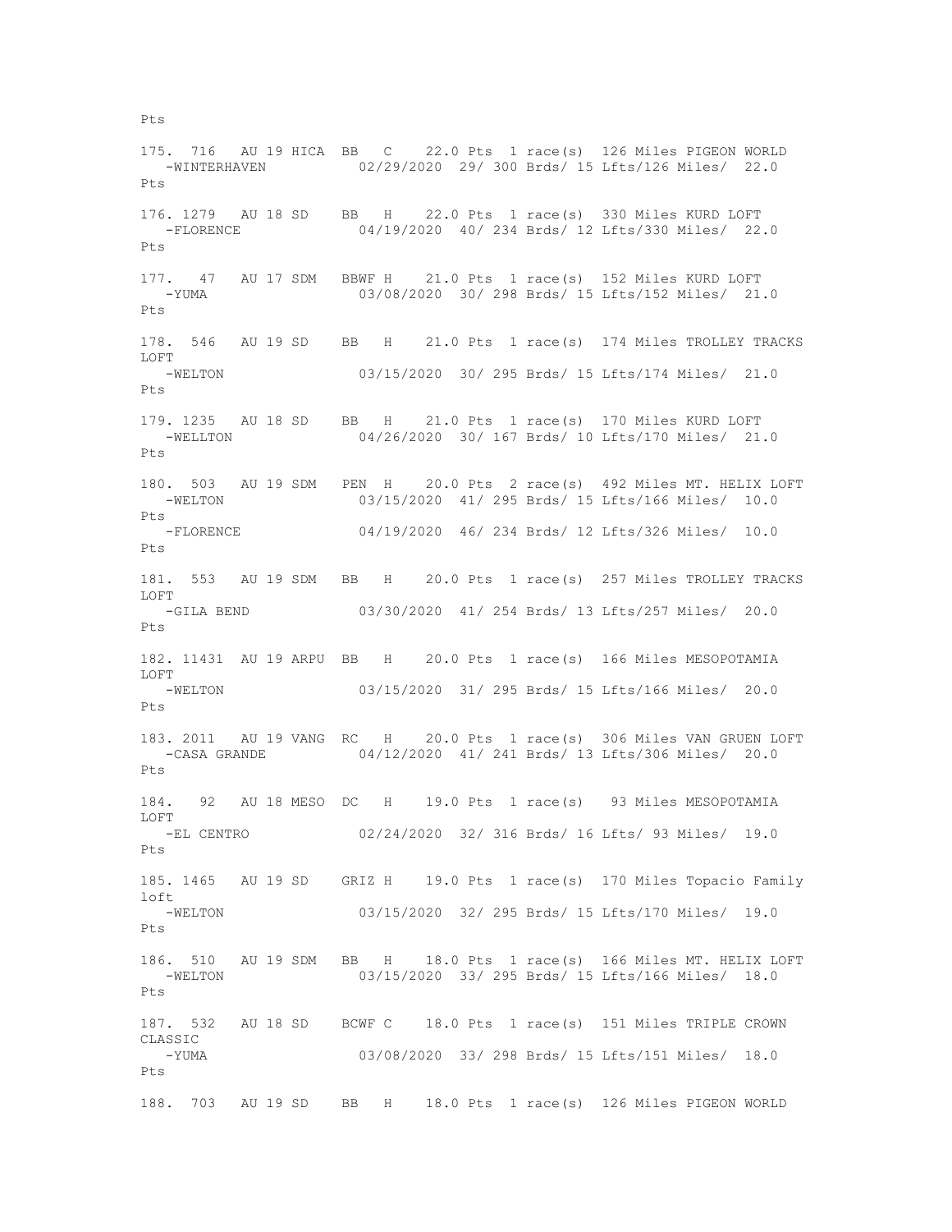175. 716 AU 19 HICA BB C 22.0 Pts 1 race(s) 126 Miles PIGEON WORLD -WINTERHAVEN 02/29/2020 29/ 300 Brds/ 15 Lfts/126 Miles/ 22.0 Pts 176. 1279 AU 18 SD BB H 22.0 Pts 1 race(s) 330 Miles KURD LOFT -FLORENCE 04/19/2020 40/ 234 Brds/ 12 Lfts/330 Miles/ 22.0 Pts 177. 47 AU 17 SDM BBWF H 21.0 Pts 1 race(s) 152 Miles KURD LOFT -YUMA 03/08/2020 30/ 298 Brds/ 15 Lfts/152 Miles/ 21.0  $P_{\text{t}}$ s 178. 546 AU 19 SD BB H 21.0 Pts 1 race(s) 174 Miles TROLLEY TRACKS LOFT -WELTON 03/15/2020 30/ 295 Brds/ 15 Lfts/174 Miles/ 21.0 Pts 179. 1235 AU 18 SD BB H 21.0 Pts 1 race(s) 170 Miles KURD LOFT<br>-WELLTON 04/26/2020 30/ 167 Brds/ 10 Lfts/170 Miles/ 21. 04/26/2020 30/ 167 Brds/ 10 Lfts/170 Miles/ 21.0 Pts 180. 503 AU 19 SDM PEN H 20.0 Pts 2 race(s) 492 Miles MT. HELIX LOFT -WELTON 03/15/2020 41/ 295 Brds/ 15 Lfts/166 Miles/ 10.0 Pts -FLORENCE 04/19/2020 46/ 234 Brds/ 12 Lfts/326 Miles/ 10.0 Pts 181. 553 AU 19 SDM BB H 20.0 Pts 1 race(s) 257 Miles TROLLEY TRACKS LOFT -GILA BEND 03/30/2020 41/ 254 Brds/ 13 Lfts/257 Miles/ 20.0 Pts 182. 11431 AU 19 ARPU BB H 20.0 Pts 1 race(s) 166 Miles MESOPOTAMIA LOFT -WELTON 03/15/2020 31/ 295 Brds/ 15 Lfts/166 Miles/ 20.0  $P_{\text{t}}$ s 183. 2011 AU 19 VANG RC H 20.0 Pts 1 race(s) 306 Miles VAN GRUEN LOFT -CASA GRANDE 04/12/2020 41/ 241 Brds/ 13 Lfts/306 Miles/ 20.0 Pts 184. 92 AU 18 MESO DC H 19.0 Pts 1 race(s) 93 Miles MESOPOTAMIA LOFT -EL CENTRO 02/24/2020 32/ 316 Brds/ 16 Lfts/ 93 Miles/ 19.0 Pts 185. 1465 AU 19 SD GRIZ H 19.0 Pts 1 race(s) 170 Miles Topacio Family  $1 \circ f$  -WELTON 03/15/2020 32/ 295 Brds/ 15 Lfts/170 Miles/ 19.0 Pts 186. 510 AU 19 SDM BB H 18.0 Pts 1 race(s) 166 Miles MT. HELIX LOFT -WELTON 03/15/2020 33/ 295 Brds/ 15 Lfts/166 Miles/ 18.0 Pts 187. 532 AU 18 SD BCWF C 18.0 Pts 1 race(s) 151 Miles TRIPLE CROWN CLASSIC -YUMA 03/08/2020 33/ 298 Brds/ 15 Lfts/151 Miles/ 18.0 Pts 188. 703 AU 19 SD BB H 18.0 Pts 1 race(s) 126 Miles PIGEON WORLD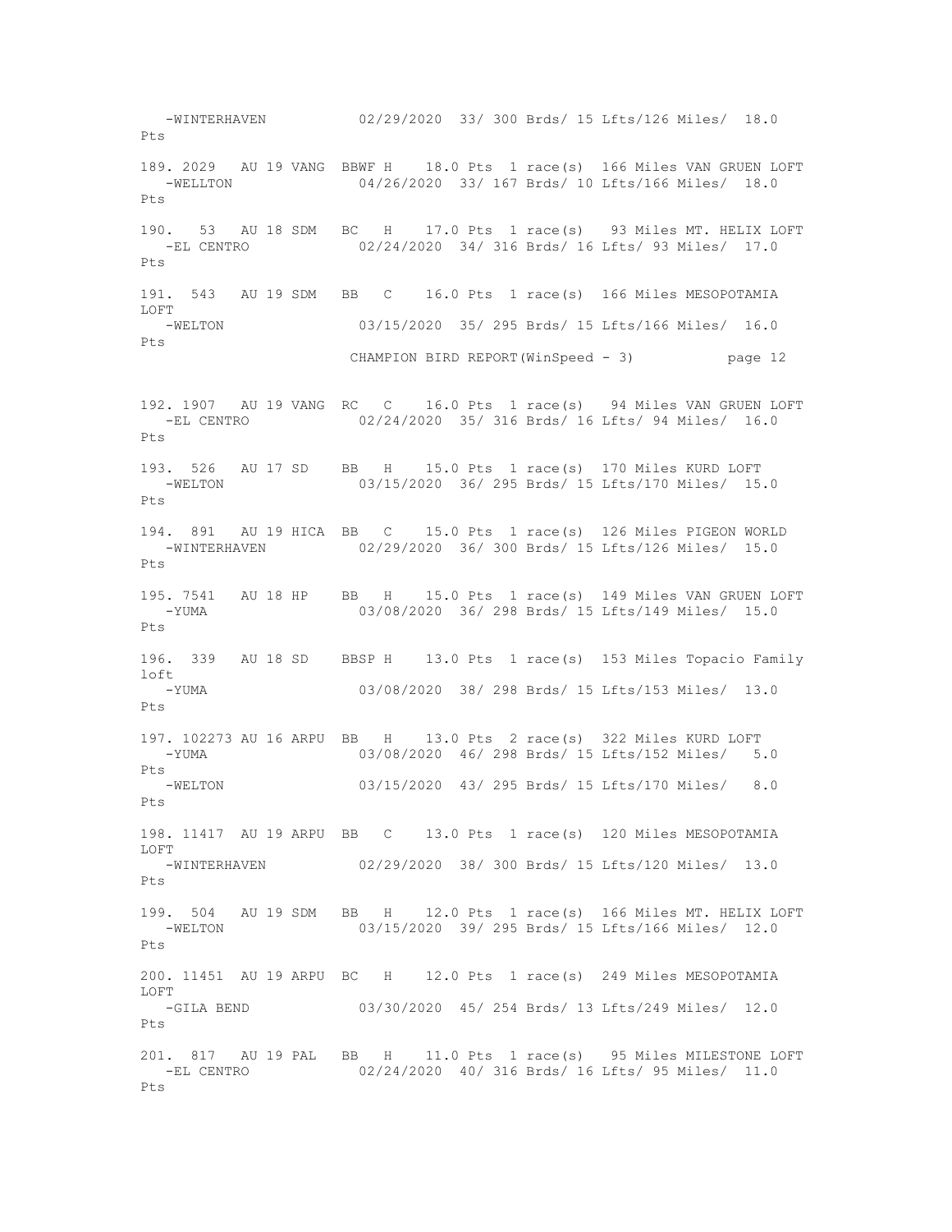-WINTERHAVEN 02/29/2020 33/ 300 Brds/ 15 Lfts/126 Miles/ 18.0 Pts 189. 2029 AU 19 VANG BBWF H 18.0 Pts 1 race(s) 166 Miles VAN GRUEN LOFT -WELLTON 04/26/2020 33/ 167 Brds/ 10 Lfts/166 Miles/ 18.0 Pts 190. 53 AU 18 SDM BC H 17.0 Pts 1 race(s) 93 Miles MT. HELIX LOFT 02/24/2020 34/ 316 Brds/ 16 Lfts/ 93 Miles/ 17.0 Pts 191. 543 AU 19 SDM BB C 16.0 Pts 1 race(s) 166 Miles MESOPOTAMIA LOFT -WELTON 03/15/2020 35/ 295 Brds/ 15 Lfts/166 Miles/ 16.0 Pts CHAMPION BIRD REPORT(WinSpeed - 3) page 12 192. 1907 AU 19 VANG RC C 16.0 Pts 1 race(s) 94 Miles VAN GRUEN LOFT<br>-EL CENTRO 02/24/2020 35/316 Brds/16 Lfts/94 Miles/16.0 02/24/2020 35/ 316 Brds/ 16 Lfts/ 94 Miles/ 16.0 Pts 193. 526 AU 17 SD BB H 15.0 Pts 1 race(s) 170 Miles KURD LOFT -WELTON 03/15/2020 36/ 295 Brds/ 15 Lfts/170 Miles/ 15.0 Pts 194. 891 AU 19 HICA BB C 15.0 Pts 1 race(s) 126 Miles PIGEON WORLD -WINTERHAVEN 02/29/2020 36/ 300 Brds/ 15 Lfts/126 Miles/ 15.0 Pts 195. 7541 AU 18 HP BB H 15.0 Pts 1 race(s) 149 Miles VAN GRUEN LOFT -YUMA 03/08/2020 36/ 298 Brds/ 15 Lfts/149 Miles/ 15.0 Pts 196. 339 AU 18 SD BBSP H 13.0 Pts 1 race(s) 153 Miles Topacio Family loft 03/08/2020 38/ 298 Brds/ 15 Lfts/153 Miles/ 13.0  $P_{\text{t}}$ s 197. 102273 AU 16 ARPU BB H 13.0 Pts 2 race(s) 322 Miles KURD LOFT -YUMA 03/08/2020 46/ 298 Brds/ 15 Lfts/152 Miles/ 5.0 Pts<br>-WELTON 03/15/2020 43/ 295 Brds/ 15 Lfts/170 Miles/ 8.0 Pts 198. 11417 AU 19 ARPU BB C 13.0 Pts 1 race(s) 120 Miles MESOPOTAMIA LOFT -WINTERHAVEN 02/29/2020 38/ 300 Brds/ 15 Lfts/120 Miles/ 13.0 Pts 199. 504 AU 19 SDM BB H 12.0 Pts 1 race(s) 166 Miles MT. HELIX LOFT -WELTON 03/15/2020 39/ 295 Brds/ 15 Lfts/166 Miles/ 12.0 Pts 200. 11451 AU 19 ARPU BC H 12.0 Pts 1 race(s) 249 Miles MESOPOTAMIA LOFT -GILA BEND 03/30/2020 45/ 254 Brds/ 13 Lfts/249 Miles/ 12.0 Pts 201. 817 AU 19 PAL BB H 11.0 Pts 1 race(s) 95 Miles MILESTONE LOFT -EL CENTRO 02/24/2020 40/ 316 Brds/ 16 Lfts/ 95 Miles/ 11.0 Pts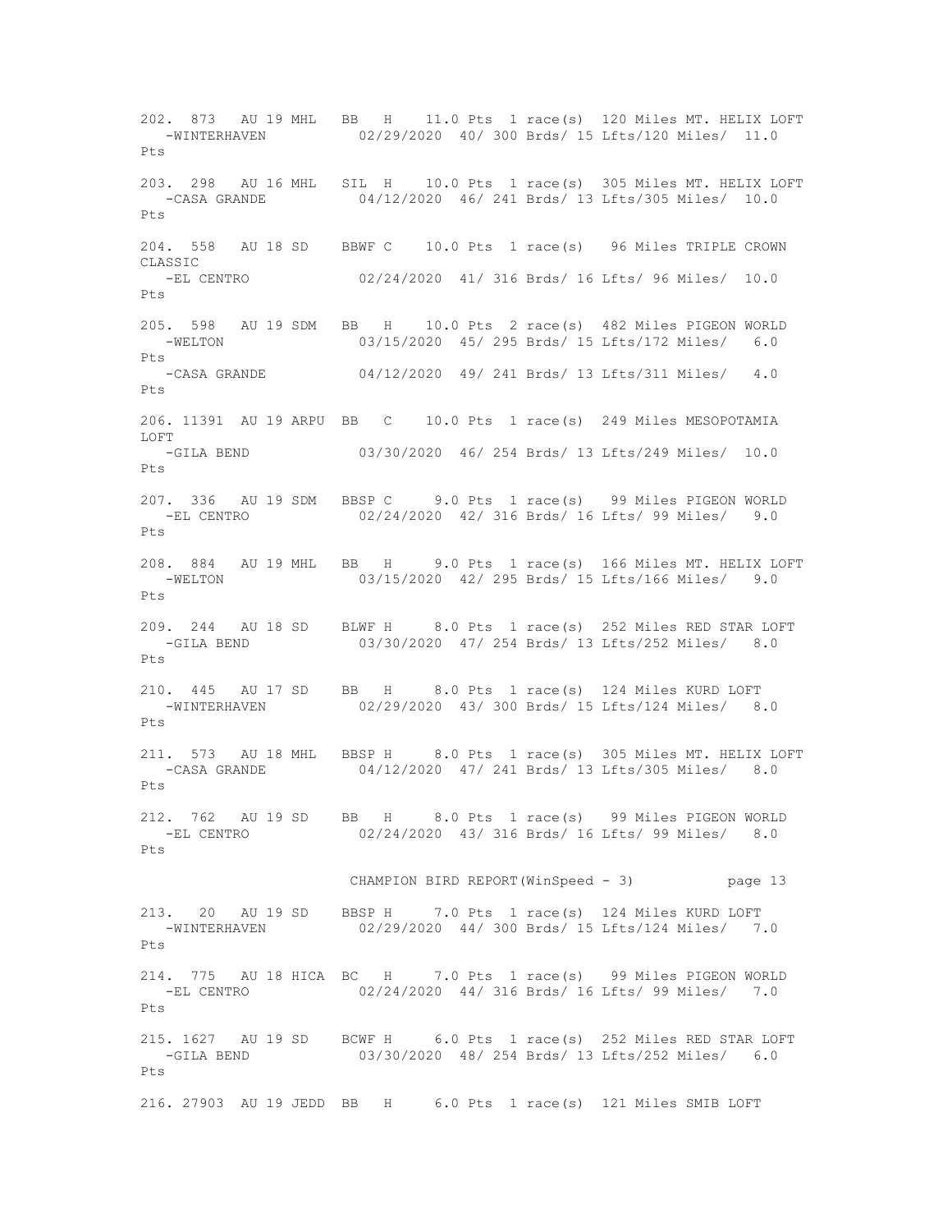202. 873 AU 19 MHL BB H 11.0 Pts 1 race(s) 120 Miles MT. HELIX LOFT -WINTERHAVEN 02/29/2020 40/ 300 Brds/ 15 Lfts/120 Miles/ 11.0  $P_{\text{max}}$ 203. 298 AU 16 MHL SIL H 10.0 Pts 1 race(s) 305 Miles MT. HELIX LOFT 04/12/2020 46/ 241 Brds/ 13 Lfts/305 Miles/ 10.0 Pts 204. 558 AU 18 SD BBWF C 10.0 Pts 1 race(s) 96 Miles TRIPLE CROWN CLASSIC -EL CENTRO 02/24/2020 41/ 316 Brds/ 16 Lfts/ 96 Miles/ 10.0 Pts 205. 598 AU 19 SDM BB H 10.0 Pts 2 race(s) 482 Miles PIGEON WORLD -WELTON 03/15/2020 45/ 295 Brds/ 15 Lfts/172 Miles/ 6.0 Pts -CASA GRANDE 04/12/2020 49/ 241 Brds/ 13 Lfts/311 Miles/ 4.0 Pts 206. 11391 AU 19 ARPU BB C 10.0 Pts 1 race(s) 249 Miles MESOPOTAMIA LOFT -GILA BEND 03/30/2020 46/ 254 Brds/ 13 Lfts/249 Miles/ 10.0  $P+s$ 207. 336 AU 19 SDM BBSP C 9.0 Pts 1 race(s) 99 Miles PIGEON WORLD -EL CENTRO 02/24/2020 42/ 316 Brds/ 16 Lfts/ 99 Miles/ 9.0 Pts 208. 884 AU 19 MHL BB H 9.0 Pts 1 race(s) 166 Miles MT. HELIX LOFT -WELTON 03/15/2020 42/ 295 Brds/ 15 Lfts/166 Miles/ 9.0 Pts 209. 244 AU 18 SD BLWF H 8.0 Pts 1 race(s) 252 Miles RED STAR LOFT -GILA BEND 03/30/2020 47/ 254 Brds/ 13 Lfts/252 Miles/ 8.0  $P_{\text{max}}$ 210. 445 AU 17 SD BB H 8.0 Pts 1 race(s) 124 Miles KURD LOFT -WINTERHAVEN 02/29/2020 43/ 300 Brds/ 15 Lfts/124 Miles/ 8.0 Pts 211. 573 AU 18 MHL BBSP H 8.0 Pts 1 race(s) 305 Miles MT. HELIX LOFT 04/12/2020 47/ 241 Brds/ 13 Lfts/305 Miles/ 8.0 Pts 212. 762 AU 19 SD BB H 8.0 Pts 1 race(s) 99 Miles PIGEON WORLD -EL CENTRO 02/24/2020 43/ 316 Brds/ 16 Lfts/ 99 Miles/ 8.0 Pts CHAMPION BIRD REPORT(WinSpeed - 3) page 13 213. 20 AU 19 SD BBSP H 7.0 Pts 1 race(s) 124 Miles KURD LOFT -WINTERHAVEN 02/29/2020 44/ 300 Brds/ 15 Lfts/124 Miles/ 7.0 Pts 214. 775 AU 18 HICA BC H 7.0 Pts 1 race(s) 99 Miles PIGEON WORLD -EL CENTRO 02/24/2020 44/ 316 Brds/ 16 Lfts/ 99 Miles/ 7.0  $P + g$ 215. 1627 AU 19 SD BCWF H 6.0 Pts 1 race(s) 252 Miles RED STAR LOFT 03/30/2020 48/ 254 Brds/ 13 Lfts/252 Miles/ 6.0 Pts 216. 27903 AU 19 JEDD BB H 6.0 Pts 1 race(s) 121 Miles SMIB LOFT